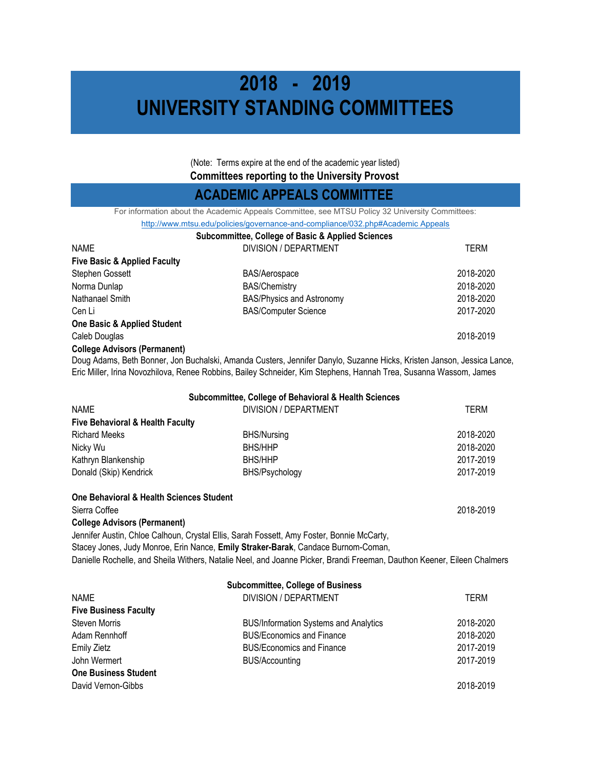# **2018 - 2019 UNIVERSITY STANDING COMMITTEES**

(Note: Terms expire at the end of the academic year listed) **Committees reporting to the University Provost** 

### **ACADEMIC APPEALS COMMITTEE**

For information about the Academic Appeals Committee, see MTSU Policy 32 University Committees:

|                                         | T OF IMPORTANCE ADONE THE FRONTONING FIGHT AND CONTINUES. SEE IN FOOT ONLY US ON INTEREST.                          |           |
|-----------------------------------------|---------------------------------------------------------------------------------------------------------------------|-----------|
|                                         | http://www.mtsu.edu/policies/governance-and-compliance/032.php#Academic Appeals                                     |           |
|                                         | <b>Subcommittee, College of Basic &amp; Applied Sciences</b>                                                        |           |
| <b>NAME</b>                             | DIVISION / DEPARTMENT                                                                                               | TERM      |
| <b>Five Basic &amp; Applied Faculty</b> |                                                                                                                     |           |
| Stephen Gossett                         | <b>BAS/Aerospace</b>                                                                                                | 2018-2020 |
| Norma Dunlap                            | <b>BAS/Chemistry</b>                                                                                                | 2018-2020 |
| Nathanael Smith                         | <b>BAS/Physics and Astronomy</b>                                                                                    | 2018-2020 |
| Cen Li                                  | <b>BAS/Computer Science</b>                                                                                         | 2017-2020 |
| <b>One Basic &amp; Applied Student</b>  |                                                                                                                     |           |
| Caleb Douglas                           |                                                                                                                     | 2018-2019 |
| <b>College Advisors (Permanent)</b>     |                                                                                                                     |           |
|                                         | Doug Adams, Roth Ronner, Jon Ruchalski, Amanda Custers, Jonnifor Danylo, Suzanno Hicks, Kriston, Janson, Jossica La |           |

Doug Adams, Beth Bonner, Jon Buchalski, Amanda Custers, Jennifer Danylo, Suzanne Hicks, Kristen Janson, Jessica Lance, Eric Miller, Irina Novozhilova, Renee Robbins, Bailey Schneider, Kim Stephens, Hannah Trea, Susanna Wassom, James

|                                             | Subcommittee, College of Behavioral & Health Sciences                                     |           |
|---------------------------------------------|-------------------------------------------------------------------------------------------|-----------|
| <b>NAME</b>                                 | DIVISION / DEPARTMENT                                                                     | TERM      |
| <b>Five Behavioral &amp; Health Faculty</b> |                                                                                           |           |
| <b>Richard Meeks</b>                        | <b>BHS/Nursing</b>                                                                        | 2018-2020 |
| Nicky Wu                                    | <b>BHS/HHP</b>                                                                            | 2018-2020 |
| Kathryn Blankenship                         | <b>BHS/HHP</b>                                                                            | 2017-2019 |
| Donald (Skip) Kendrick                      | BHS/Psychology                                                                            | 2017-2019 |
| One Behavioral & Health Sciences Student    |                                                                                           |           |
| Sierra Coffee                               |                                                                                           | 2018-2019 |
| <b>College Advisors (Permanent)</b>         |                                                                                           |           |
|                                             | Jennifer Austin, Chloe Calhoun, Crystal Ellis, Sarah Fossett, Amy Foster, Bonnie McCarty, |           |
|                                             | Stacey Jones, Judy Monroe, Erin Nance, Emily Straker-Barak, Candace Burnom-Coman,         |           |

Danielle Rochelle, and Sheila Withers, Natalie Neel, and Joanne Picker, Brandi Freeman, Dauthon Keener, Eileen Chalmers

| <b>Subcommittee, College of Business</b> |                                              |           |
|------------------------------------------|----------------------------------------------|-----------|
| <b>NAME</b>                              | DIVISION / DEPARTMENT                        | TFRM      |
| <b>Five Business Faculty</b>             |                                              |           |
| <b>Steven Morris</b>                     | <b>BUS/Information Systems and Analytics</b> | 2018-2020 |
| Adam Rennhoff                            | <b>BUS/Economics and Finance</b>             | 2018-2020 |
| <b>Emily Zietz</b>                       | <b>BUS/Economics and Finance</b>             | 2017-2019 |
| John Wermert                             | <b>BUS/Accounting</b>                        | 2017-2019 |
| <b>One Business Student</b>              |                                              |           |
| David Vernon-Gibbs                       |                                              | 2018-2019 |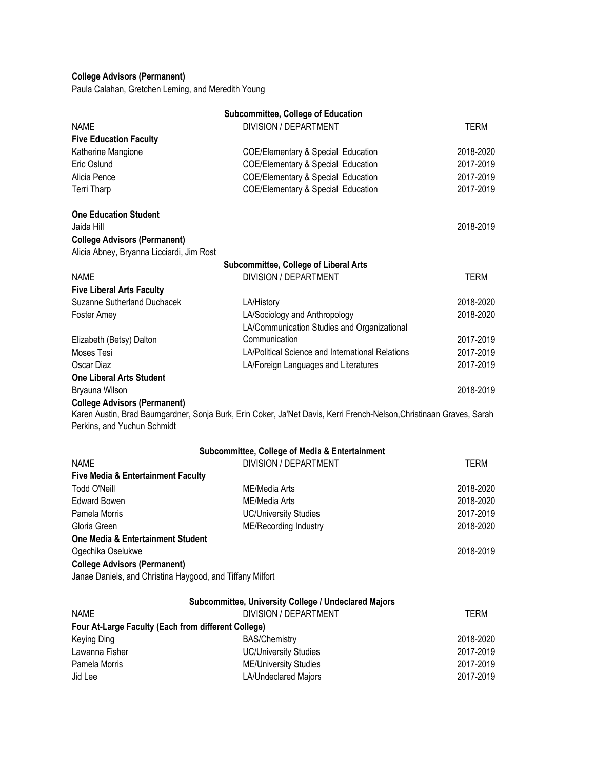### **College Advisors (Permanent)**

Paula Calahan, Gretchen Leming, and Meredith Young

|                                                           | <b>Subcommittee, College of Education</b>                                                                            |             |
|-----------------------------------------------------------|----------------------------------------------------------------------------------------------------------------------|-------------|
| <b>NAME</b>                                               | <b>DIVISION / DEPARTMENT</b>                                                                                         | TERM        |
| <b>Five Education Faculty</b>                             |                                                                                                                      |             |
| Katherine Mangione                                        | <b>COE/Elementary &amp; Special Education</b>                                                                        | 2018-2020   |
| Eric Oslund                                               | <b>COE/Elementary &amp; Special Education</b>                                                                        | 2017-2019   |
| Alicia Pence                                              | COE/Elementary & Special Education                                                                                   | 2017-2019   |
| Terri Tharp                                               | COE/Elementary & Special Education                                                                                   | 2017-2019   |
| <b>One Education Student</b>                              |                                                                                                                      |             |
| Jaida Hill                                                |                                                                                                                      | 2018-2019   |
| <b>College Advisors (Permanent)</b>                       |                                                                                                                      |             |
| Alicia Abney, Bryanna Licciardi, Jim Rost                 |                                                                                                                      |             |
|                                                           | <b>Subcommittee, College of Liberal Arts</b>                                                                         |             |
| <b>NAME</b>                                               | DIVISION / DEPARTMENT                                                                                                | <b>TERM</b> |
| <b>Five Liberal Arts Faculty</b>                          |                                                                                                                      |             |
| Suzanne Sutherland Duchacek                               | LA/History                                                                                                           | 2018-2020   |
| Foster Amey                                               | LA/Sociology and Anthropology                                                                                        | 2018-2020   |
|                                                           | LA/Communication Studies and Organizational                                                                          |             |
| Elizabeth (Betsy) Dalton                                  | Communication                                                                                                        | 2017-2019   |
| Moses Tesi                                                | LA/Political Science and International Relations                                                                     | 2017-2019   |
| Oscar Diaz                                                | LA/Foreign Languages and Literatures                                                                                 | 2017-2019   |
| <b>One Liberal Arts Student</b>                           |                                                                                                                      |             |
| Bryauna Wilson                                            |                                                                                                                      | 2018-2019   |
| <b>College Advisors (Permanent)</b>                       |                                                                                                                      |             |
|                                                           | Karen Austin, Brad Baumgardner, Sonja Burk, Erin Coker, Ja'Net Davis, Kerri French-Nelson, Christinaan Graves, Sarah |             |
| Perkins, and Yuchun Schmidt                               |                                                                                                                      |             |
|                                                           | Subcommittee, College of Media & Entertainment                                                                       |             |
| <b>NAME</b>                                               | <b>DIVISION / DEPARTMENT</b>                                                                                         | <b>TERM</b> |
| <b>Five Media &amp; Entertainment Faculty</b>             |                                                                                                                      |             |
| <b>Todd O'Neill</b>                                       | ME/Media Arts                                                                                                        | 2018-2020   |
| <b>Edward Bowen</b>                                       | ME/Media Arts                                                                                                        | 2018-2020   |
| Pamela Morris                                             | <b>UC/University Studies</b>                                                                                         | 2017-2019   |
| Gloria Green                                              | ME/Recording Industry                                                                                                | 2018-2020   |
| One Media & Entertainment Student                         |                                                                                                                      |             |
| Ogechika Oselukwe                                         |                                                                                                                      | 2018-2019   |
| <b>College Advisors (Permanent)</b>                       |                                                                                                                      |             |
| Janae Daniels, and Christina Haygood, and Tiffany Milfort |                                                                                                                      |             |
|                                                           |                                                                                                                      |             |
| <b>NAME</b>                                               | Subcommittee, University College / Undeclared Majors<br>DIVISION / DEPARTMENT                                        | <b>TERM</b> |
|                                                           |                                                                                                                      |             |
| Four At-Large Faculty (Each from different College)       |                                                                                                                      | 2018-2020   |
| Keying Ding<br>Lawanna Fisher                             | <b>BAS/Chemistry</b>                                                                                                 |             |
| Pamela Morris                                             | <b>UC/University Studies</b>                                                                                         | 2017-2019   |
|                                                           | <b>ME/University Studies</b>                                                                                         | 2017-2019   |
| Jid Lee                                                   | LA/Undeclared Majors                                                                                                 | 2017-2019   |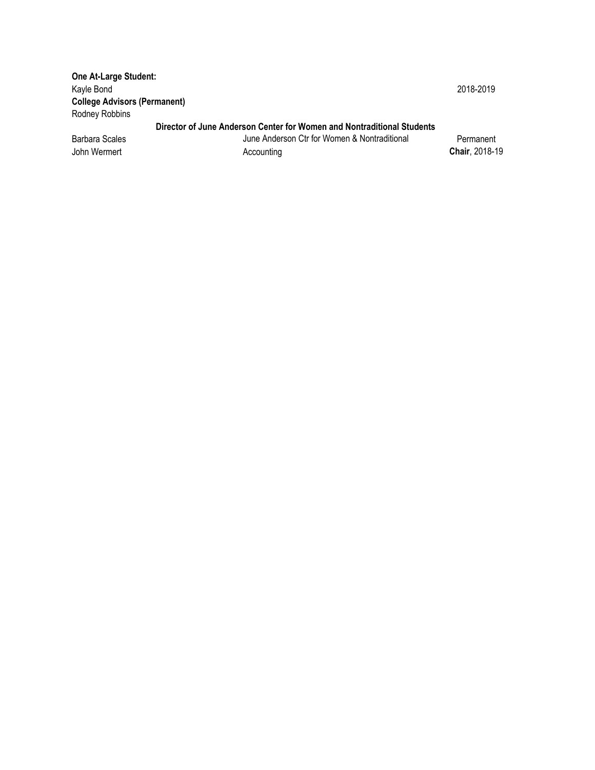**One At-Large Student:**  Kayle Bond 2018-2019 **College Advisors (Permanent)**  Rodney Robbins

#### **Director of June Anderson Center for Women and Nontraditional Students**

Barbara Scales **June Anderson Ctr for Women & Nontraditional** Permanent John Wermert Accounting **Chair**, 2018-19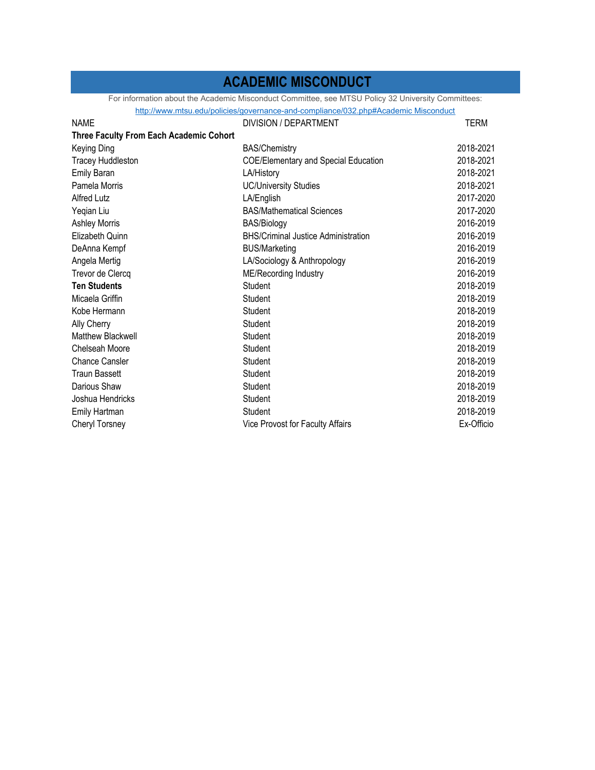### **ACADEMIC MISCONDUCT**

For information about the Academic Misconduct Committee, see MTSU Policy 32 University Committees:

| http://www.mtsu.edu/policies/governance-and-compliance/032.php#Academic Misconduct |                                             |            |
|------------------------------------------------------------------------------------|---------------------------------------------|------------|
| <b>NAME</b>                                                                        | DIVISION / DEPARTMENT                       | TERM       |
| <b>Three Faculty From Each Academic Cohort</b>                                     |                                             |            |
| Keying Ding                                                                        | <b>BAS/Chemistry</b>                        | 2018-2021  |
| <b>Tracey Huddleston</b>                                                           | <b>COE/Elementary and Special Education</b> | 2018-2021  |
| <b>Emily Baran</b>                                                                 | LA/History                                  | 2018-2021  |
| Pamela Morris                                                                      | <b>UC/University Studies</b>                | 2018-2021  |
| <b>Alfred Lutz</b>                                                                 | LA/English                                  | 2017-2020  |
| Yeqian Liu                                                                         | <b>BAS/Mathematical Sciences</b>            | 2017-2020  |
| <b>Ashley Morris</b>                                                               | <b>BAS/Biology</b>                          | 2016-2019  |
| Elizabeth Quinn                                                                    | <b>BHS/Criminal Justice Administration</b>  | 2016-2019  |
| DeAnna Kempf                                                                       | <b>BUS/Marketing</b>                        | 2016-2019  |
| Angela Mertig                                                                      | LA/Sociology & Anthropology                 | 2016-2019  |
| Trevor de Clercq                                                                   | ME/Recording Industry                       | 2016-2019  |
| <b>Ten Students</b>                                                                | Student                                     | 2018-2019  |
| Micaela Griffin                                                                    | Student                                     | 2018-2019  |
| Kobe Hermann                                                                       | Student                                     | 2018-2019  |
| Ally Cherry                                                                        | Student                                     | 2018-2019  |
| <b>Matthew Blackwell</b>                                                           | Student                                     | 2018-2019  |
| Chelseah Moore                                                                     | Student                                     | 2018-2019  |
| <b>Chance Cansler</b>                                                              | Student                                     | 2018-2019  |
| <b>Traun Bassett</b>                                                               | Student                                     | 2018-2019  |
| Darious Shaw                                                                       | Student                                     | 2018-2019  |
| Joshua Hendricks                                                                   | Student                                     | 2018-2019  |
| Emily Hartman                                                                      | Student                                     | 2018-2019  |
| Cheryl Torsney                                                                     | Vice Provost for Faculty Affairs            | Ex-Officio |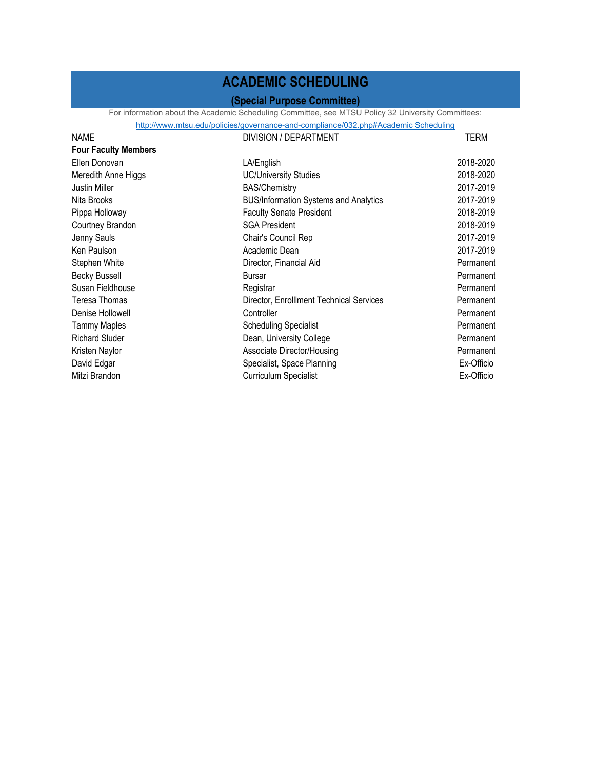### **ACADEMIC SCHEDULING**

### **(Special Purpose Committee)**

For information about the Academic Scheduling Committee, see MTSU Policy 32 University Committees:<br>http://www.mtsu.edu/policies/governance-and-compliance/032.php#Academic Scheduling

|                             | http://www.mtsu.edu/policies/governance-and-compliance/032.php#Academic Scheduling |            |
|-----------------------------|------------------------------------------------------------------------------------|------------|
| <b>NAME</b>                 | DIVISION / DEPARTMENT                                                              | TERM       |
| <b>Four Faculty Members</b> |                                                                                    |            |
| Ellen Donovan               | LA/English                                                                         | 2018-2020  |
| Meredith Anne Higgs         | <b>UC/University Studies</b>                                                       | 2018-2020  |
| Justin Miller               | <b>BAS/Chemistry</b>                                                               | 2017-2019  |
| Nita Brooks                 | <b>BUS/Information Systems and Analytics</b>                                       | 2017-2019  |
| Pippa Holloway              | <b>Faculty Senate President</b>                                                    | 2018-2019  |
| Courtney Brandon            | <b>SGA President</b>                                                               | 2018-2019  |
| Jenny Sauls                 | Chair's Council Rep                                                                | 2017-2019  |
| Ken Paulson                 | Academic Dean                                                                      | 2017-2019  |
| Stephen White               | Director, Financial Aid                                                            | Permanent  |
| <b>Becky Bussell</b>        | <b>Bursar</b>                                                                      | Permanent  |
| Susan Fieldhouse            | Registrar                                                                          | Permanent  |
| Teresa Thomas               | Director, EnrollIment Technical Services                                           | Permanent  |
| Denise Hollowell            | Controller                                                                         | Permanent  |
| <b>Tammy Maples</b>         | <b>Scheduling Specialist</b>                                                       | Permanent  |
| <b>Richard Sluder</b>       | Dean, University College                                                           | Permanent  |
| Kristen Naylor              | Associate Director/Housing                                                         | Permanent  |
| David Edgar                 | Specialist, Space Planning                                                         | Ex-Officio |
| Mitzi Brandon               | <b>Curriculum Specialist</b>                                                       | Ex-Officio |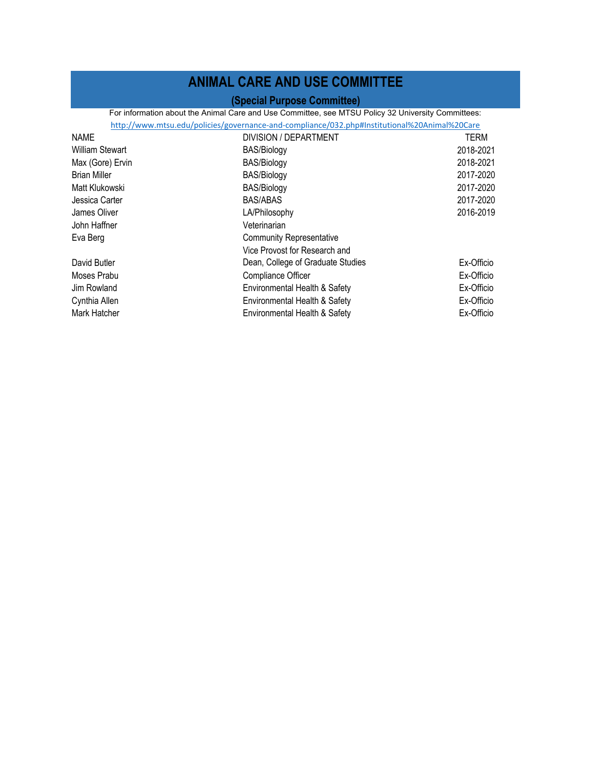## **ANIMAL CARE AND USE COMMITTEE**

### **(Special Purpose Committee)**

For information about the Animal Care and Use Committee, see MTSU Policy 32 University Committees:

|                        | http://www.mtsu.edu/policies/governance-and-compliance/032.php#Institutional%20Animal%20Care |            |
|------------------------|----------------------------------------------------------------------------------------------|------------|
| <b>NAME</b>            | DIVISION / DEPARTMENT                                                                        | TERM       |
| <b>William Stewart</b> | BAS/Biology                                                                                  | 2018-2021  |
| Max (Gore) Ervin       | <b>BAS/Biology</b>                                                                           | 2018-2021  |
| <b>Brian Miller</b>    | <b>BAS/Biology</b>                                                                           | 2017-2020  |
| Matt Klukowski         | <b>BAS/Biology</b>                                                                           | 2017-2020  |
| Jessica Carter         | <b>BAS/ABAS</b>                                                                              | 2017-2020  |
| James Oliver           | LA/Philosophy                                                                                | 2016-2019  |
| John Haffner           | Veterinarian                                                                                 |            |
| Eva Berg               | <b>Community Representative</b>                                                              |            |
|                        | Vice Provost for Research and                                                                |            |
| David Butler           | Dean, College of Graduate Studies                                                            | Ex-Officio |
| Moses Prabu            | Compliance Officer                                                                           | Ex-Officio |
| Jim Rowland            | Environmental Health & Safety                                                                | Ex-Officio |
| Cynthia Allen          | Environmental Health & Safety                                                                | Ex-Officio |
| Mark Hatcher           | Environmental Health & Safety                                                                | Ex-Officio |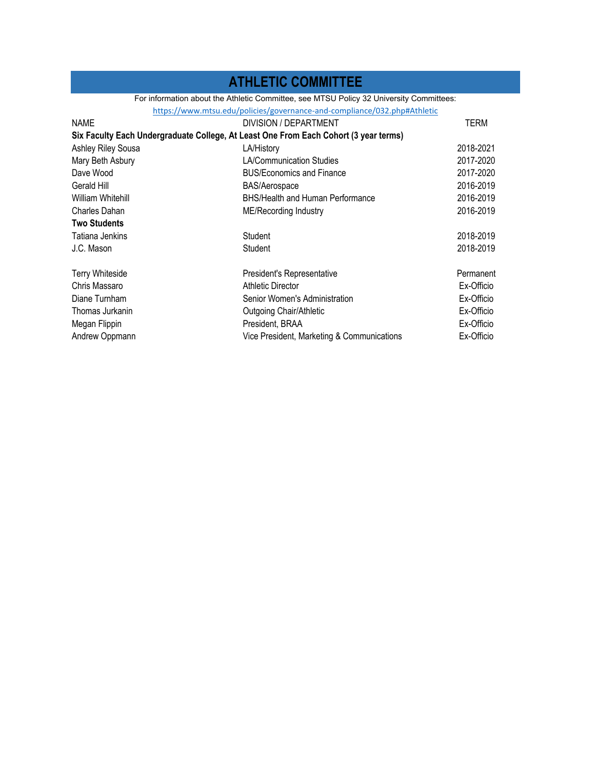## **ATHLETIC COMMITTEE**

For information about the Athletic Committee, see MTSU Policy 32 University Committees:

| https://www.mtsu.edu/policies/governance-and-compliance/032.php#Athletic             |                                            |            |
|--------------------------------------------------------------------------------------|--------------------------------------------|------------|
| <b>NAME</b>                                                                          | DIVISION / DEPARTMENT                      | TERM       |
| Six Faculty Each Undergraduate College, At Least One From Each Cohort (3 year terms) |                                            |            |
| <b>Ashley Riley Sousa</b>                                                            | LA/History                                 | 2018-2021  |
| Mary Beth Asbury                                                                     | <b>LA/Communication Studies</b>            | 2017-2020  |
| Dave Wood                                                                            | <b>BUS/Economics and Finance</b>           | 2017-2020  |
| Gerald Hill                                                                          | <b>BAS/Aerospace</b>                       | 2016-2019  |
| William Whitehill                                                                    | <b>BHS/Health and Human Performance</b>    | 2016-2019  |
| Charles Dahan                                                                        | ME/Recording Industry                      | 2016-2019  |
| <b>Two Students</b>                                                                  |                                            |            |
| Tatiana Jenkins                                                                      | Student                                    | 2018-2019  |
| J.C. Mason                                                                           | Student                                    | 2018-2019  |
|                                                                                      |                                            |            |
| <b>Terry Whiteside</b>                                                               | President's Representative                 | Permanent  |
| Chris Massaro                                                                        | <b>Athletic Director</b>                   | Ex-Officio |
| Diane Turnham                                                                        | Senior Women's Administration              | Ex-Officio |
| Thomas Jurkanin                                                                      | Outgoing Chair/Athletic                    | Ex-Officio |
| Megan Flippin                                                                        | President, BRAA                            | Ex-Officio |
| Andrew Oppmann                                                                       | Vice President, Marketing & Communications | Ex-Officio |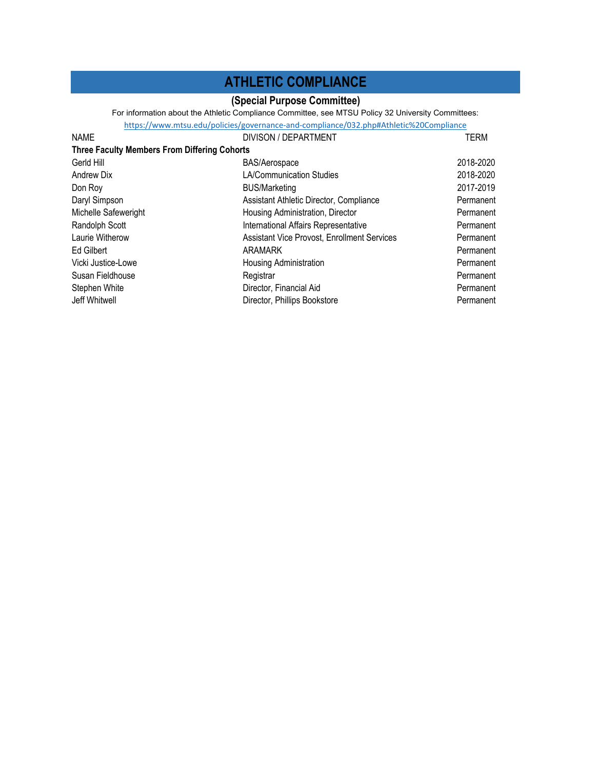## **ATHLETIC COMPLIANCE**

#### **(Special Purpose Committee)**

For information about the Athletic Compliance Committee, see MTSU Policy 32 University Committees:

|                                                     | https://www.mtsu.edu/policies/governance-and-compliance/032.php#Athletic%20Compliance |           |
|-----------------------------------------------------|---------------------------------------------------------------------------------------|-----------|
| <b>NAME</b>                                         | <b>DIVISON / DEPARTMENT</b>                                                           | TERM      |
| <b>Three Faculty Members From Differing Cohorts</b> |                                                                                       |           |
| Gerld Hill                                          | <b>BAS/Aerospace</b>                                                                  | 2018-2020 |
| Andrew Dix                                          | <b>LA/Communication Studies</b>                                                       | 2018-2020 |
| Don Roy                                             | <b>BUS/Marketing</b>                                                                  | 2017-2019 |
| Daryl Simpson                                       | Assistant Athletic Director, Compliance                                               | Permanent |
| Michelle Safeweright                                | Housing Administration, Director                                                      | Permanent |
| Randolph Scott                                      | International Affairs Representative                                                  | Permanent |
| Laurie Witherow                                     | Assistant Vice Provost, Enrollment Services                                           | Permanent |
| Ed Gilbert                                          | ARAMARK                                                                               | Permanent |
| Vicki Justice-Lowe                                  | Housing Administration                                                                | Permanent |
| Susan Fieldhouse                                    | Registrar                                                                             | Permanent |
| Stephen White                                       | Director, Financial Aid                                                               | Permanent |
| Jeff Whitwell                                       | Director, Phillips Bookstore                                                          | Permanent |
|                                                     |                                                                                       |           |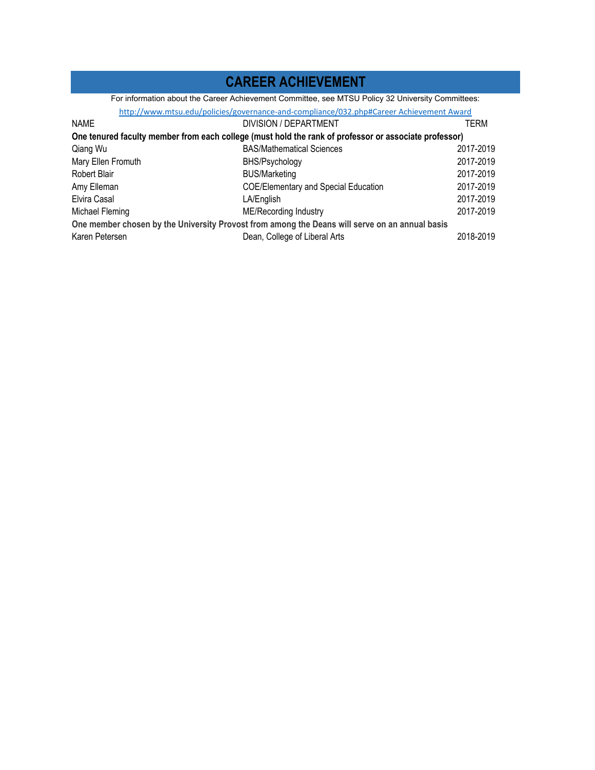## **CAREER ACHIEVEMENT**

For information about the Career Achievement Committee, see MTSU Policy 32 University Committees:

|                                                                                                       | http://www.mtsu.edu/policies/governance-and-compliance/032.php#Career Achievement Award |           |
|-------------------------------------------------------------------------------------------------------|-----------------------------------------------------------------------------------------|-----------|
| <b>NAME</b>                                                                                           | DIVISION / DEPARTMENT                                                                   | TERM      |
| One tenured faculty member from each college (must hold the rank of professor or associate professor) |                                                                                         |           |
| Qiang Wu                                                                                              | <b>BAS/Mathematical Sciences</b>                                                        | 2017-2019 |
| Mary Ellen Fromuth                                                                                    | BHS/Psychology                                                                          | 2017-2019 |
| Robert Blair                                                                                          | <b>BUS/Marketing</b>                                                                    | 2017-2019 |
| Amy Elleman                                                                                           | <b>COE/Elementary and Special Education</b>                                             | 2017-2019 |
| Elvira Casal                                                                                          | LA/English                                                                              | 2017-2019 |
| Michael Fleming                                                                                       | ME/Recording Industry                                                                   | 2017-2019 |
| One member chosen by the University Provost from among the Deans will serve on an annual basis        |                                                                                         |           |
| Karen Petersen                                                                                        | Dean, College of Liberal Arts                                                           | 2018-2019 |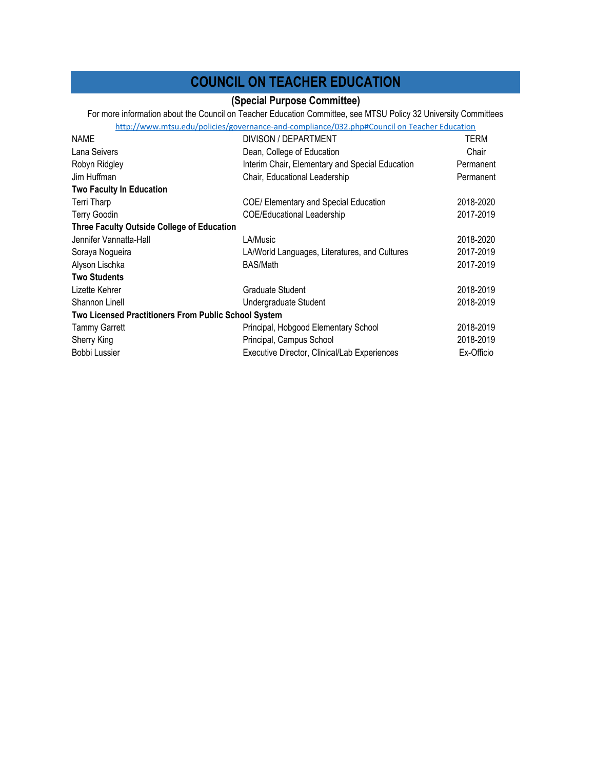### **COUNCIL ON TEACHER EDUCATION**

### **(Special Purpose Committee)**

http://www.mtsu.edu/policies/governance‐and‐compliance/032.php#Council on Teacher Education For more information about the Council on Teacher Education Committee, see MTSU Policy 32 University Committees

| <b>NAME</b>                                          | DIVISON / DEPARTMENT                            | TERM       |
|------------------------------------------------------|-------------------------------------------------|------------|
| Lana Seivers                                         | Dean, College of Education                      | Chair      |
| Robyn Ridgley                                        | Interim Chair, Elementary and Special Education | Permanent  |
| Jim Huffman                                          | Chair, Educational Leadership                   | Permanent  |
| <b>Two Faculty In Education</b>                      |                                                 |            |
| Terri Tharp                                          | COE/ Elementary and Special Education           | 2018-2020  |
| <b>Terry Goodin</b>                                  | <b>COE/Educational Leadership</b>               | 2017-2019  |
| Three Faculty Outside College of Education           |                                                 |            |
| Jennifer Vannatta-Hall                               | LA/Music                                        | 2018-2020  |
| Soraya Nogueira                                      | LA/World Languages, Literatures, and Cultures   | 2017-2019  |
| Alyson Lischka                                       | <b>BAS/Math</b>                                 | 2017-2019  |
| <b>Two Students</b>                                  |                                                 |            |
| Lizette Kehrer                                       | Graduate Student                                | 2018-2019  |
| Shannon Linell                                       | Undergraduate Student                           | 2018-2019  |
| Two Licensed Practitioners From Public School System |                                                 |            |
| <b>Tammy Garrett</b>                                 | Principal, Hobgood Elementary School            | 2018-2019  |
| Sherry King                                          | Principal, Campus School                        | 2018-2019  |
| Bobbi Lussier                                        | Executive Director, Clinical/Lab Experiences    | Ex-Officio |
|                                                      |                                                 |            |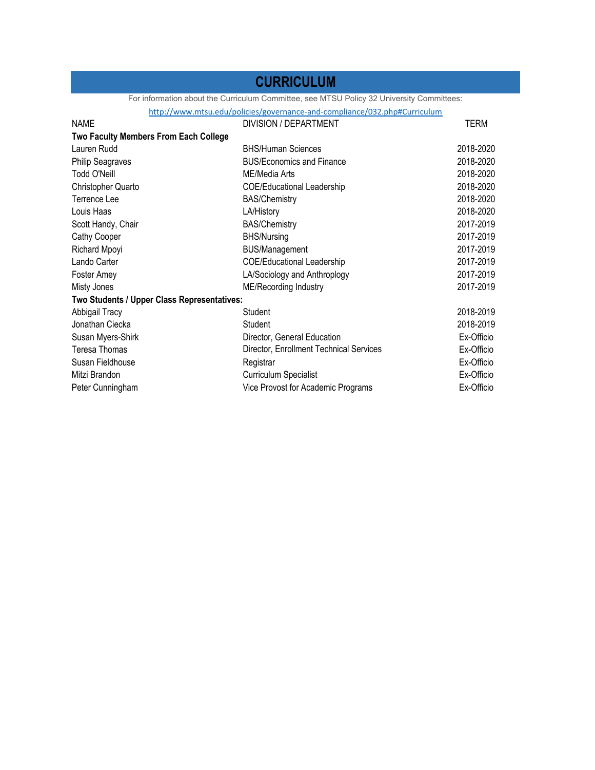### **CURRICULUM**

For information about the Curriculum Committee, see MTSU Policy 32 University Committees:

http://www.mtsu.edu/policies/governance‐and‐compliance/032.php#Curriculum

| <b>NAME</b>                                  | DIVISION / DEPARTMENT                   | TERM       |
|----------------------------------------------|-----------------------------------------|------------|
| <b>Two Faculty Members From Each College</b> |                                         |            |
| Lauren Rudd                                  | <b>BHS/Human Sciences</b>               | 2018-2020  |
| <b>Philip Seagraves</b>                      | <b>BUS/Economics and Finance</b>        | 2018-2020  |
| Todd O'Neill                                 | ME/Media Arts                           | 2018-2020  |
| Christopher Quarto                           | <b>COE/Educational Leadership</b>       | 2018-2020  |
| Terrence Lee                                 | <b>BAS/Chemistry</b>                    | 2018-2020  |
| Louis Haas                                   | LA/History                              | 2018-2020  |
| Scott Handy, Chair                           | <b>BAS/Chemistry</b>                    | 2017-2019  |
| Cathy Cooper                                 | <b>BHS/Nursing</b>                      | 2017-2019  |
| <b>Richard Mpoyi</b>                         | <b>BUS/Management</b>                   | 2017-2019  |
| Lando Carter                                 | <b>COE/Educational Leadership</b>       | 2017-2019  |
| Foster Amey                                  | LA/Sociology and Anthroplogy            | 2017-2019  |
| Misty Jones                                  | ME/Recording Industry                   | 2017-2019  |
| Two Students / Upper Class Representatives:  |                                         |            |
| Abbigail Tracy                               | Student                                 | 2018-2019  |
| Jonathan Ciecka                              | Student                                 | 2018-2019  |
| Susan Myers-Shirk                            | Director, General Education             | Ex-Officio |
| Teresa Thomas                                | Director, Enrollment Technical Services | Ex-Officio |
| Susan Fieldhouse                             | Registrar                               | Ex-Officio |
| Mitzi Brandon                                | <b>Curriculum Specialist</b>            | Ex-Officio |
| Peter Cunningham                             | Vice Provost for Academic Programs      | Ex-Officio |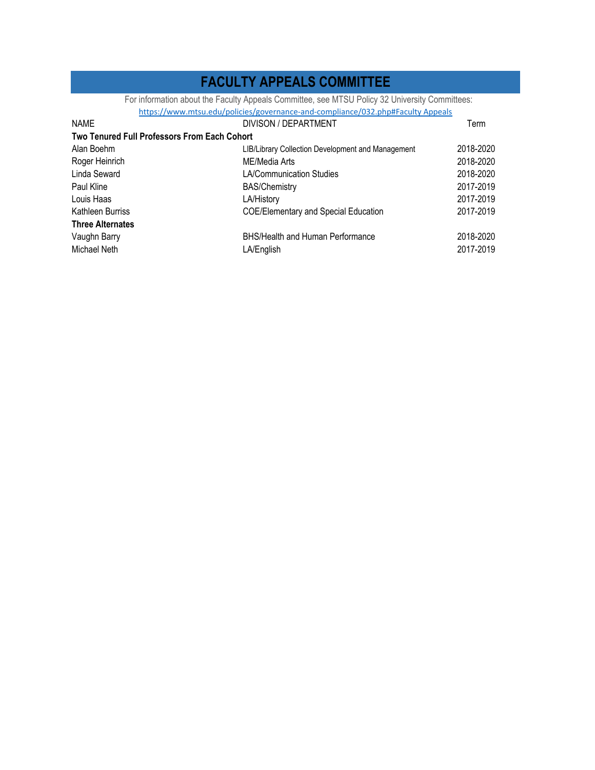### **FACULTY APPEALS COMMITTEE**

For information about the Faculty Appeals Committee, see MTSU Policy 32 University Committees:

https://www.mtsu.edu/policies/governance‐and‐compliance/032.php#Faculty Appeals

| <b>NAME</b>                                         | DIVISON / DEPARTMENT                              | Term      |
|-----------------------------------------------------|---------------------------------------------------|-----------|
| <b>Two Tenured Full Professors From Each Cohort</b> |                                                   |           |
| Alan Boehm                                          | LIB/Library Collection Development and Management | 2018-2020 |
| Roger Heinrich                                      | ME/Media Arts                                     | 2018-2020 |
| Linda Seward                                        | <b>LA/Communication Studies</b>                   | 2018-2020 |
| Paul Kline                                          | <b>BAS/Chemistry</b>                              | 2017-2019 |
| Louis Haas                                          | LA/History                                        | 2017-2019 |
| Kathleen Burriss                                    | <b>COE/Elementary and Special Education</b>       | 2017-2019 |
| <b>Three Alternates</b>                             |                                                   |           |
| Vaughn Barry                                        | BHS/Health and Human Performance                  | 2018-2020 |
| Michael Neth                                        | LA/English                                        | 2017-2019 |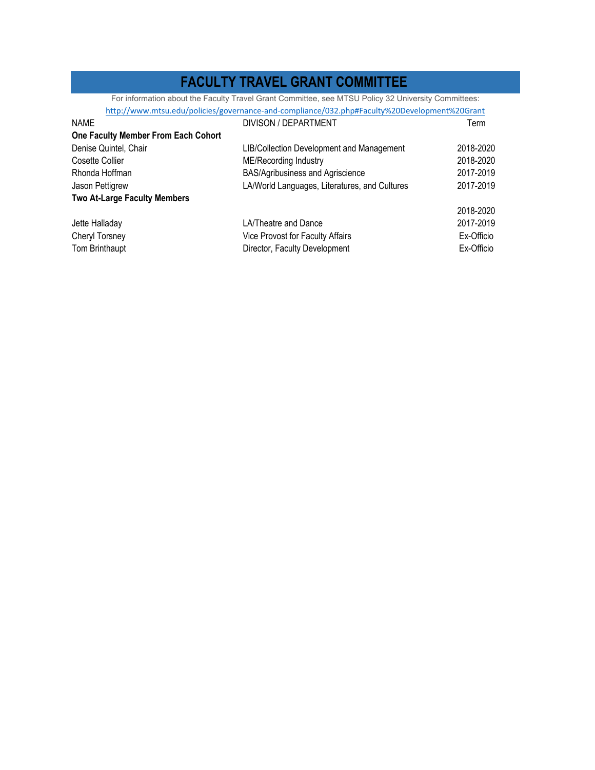### **FACULTY TRAVEL GRANT COMMITTEE**

For information about the Faculty Travel Grant Committee, see MTSU Policy 32 University Committees:

|                                     | http://www.mtsu.edu/policies/governance-and-compliance/032.php#Faculty%20Development%20Grant |            |
|-------------------------------------|----------------------------------------------------------------------------------------------|------------|
| <b>NAME</b>                         | DIVISON / DEPARTMENT                                                                         | Term       |
| One Faculty Member From Each Cohort |                                                                                              |            |
| Denise Quintel, Chair               | LIB/Collection Development and Management                                                    | 2018-2020  |
| Cosette Collier                     | ME/Recording Industry                                                                        | 2018-2020  |
| Rhonda Hoffman                      | BAS/Agribusiness and Agriscience                                                             | 2017-2019  |
| Jason Pettigrew                     | LA/World Languages, Literatures, and Cultures                                                | 2017-2019  |
| <b>Two At-Large Faculty Members</b> |                                                                                              |            |
|                                     |                                                                                              | 2018-2020  |
| Jette Halladay                      | LA/Theatre and Dance                                                                         | 2017-2019  |
| Cheryl Torsney                      | Vice Provost for Faculty Affairs                                                             | Ex-Officio |
| Tom Brinthaupt                      | Director, Faculty Development                                                                | Ex-Officio |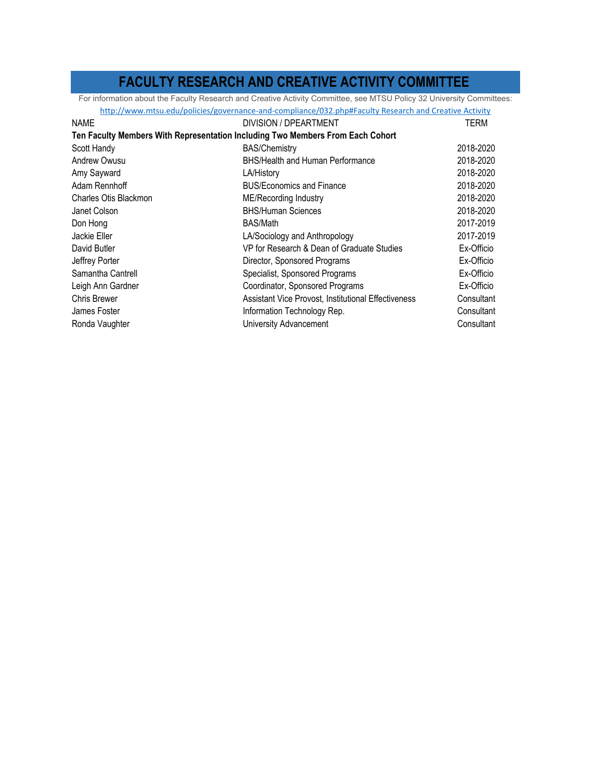### **FACULTY RESEARCH AND CREATIVE ACTIVITY COMMITTEE**

For information about the Faculty Research and Creative Activity Committee, see MTSU Policy 32 University Committees:

|                                                                                | http://www.mtsu.edu/policies/governance-and-compliance/032.php#Faculty Research and Creative Activity |            |
|--------------------------------------------------------------------------------|-------------------------------------------------------------------------------------------------------|------------|
| <b>NAME</b>                                                                    | DIVISION / DPEARTMENT                                                                                 | TERM       |
| Ten Faculty Members With Representation Including Two Members From Each Cohort |                                                                                                       |            |
| Scott Handy                                                                    | <b>BAS/Chemistry</b>                                                                                  | 2018-2020  |
| Andrew Owusu                                                                   | BHS/Health and Human Performance                                                                      | 2018-2020  |
| Amy Sayward                                                                    | LA/History                                                                                            | 2018-2020  |
| Adam Rennhoff                                                                  | <b>BUS/Economics and Finance</b>                                                                      | 2018-2020  |
| Charles Otis Blackmon                                                          | ME/Recording Industry                                                                                 | 2018-2020  |
| Janet Colson                                                                   | <b>BHS/Human Sciences</b>                                                                             | 2018-2020  |
| Don Hong                                                                       | <b>BAS/Math</b>                                                                                       | 2017-2019  |
| Jackie Eller                                                                   | LA/Sociology and Anthropology                                                                         | 2017-2019  |
| David Butler                                                                   | VP for Research & Dean of Graduate Studies                                                            | Ex-Officio |
| Jeffrey Porter                                                                 | Director, Sponsored Programs                                                                          | Ex-Officio |
| Samantha Cantrell                                                              | Specialist, Sponsored Programs                                                                        | Ex-Officio |
| Leigh Ann Gardner                                                              | Coordinator, Sponsored Programs                                                                       | Ex-Officio |
| <b>Chris Brewer</b>                                                            | Assistant Vice Provost, Institutional Effectiveness                                                   | Consultant |
| James Foster                                                                   | Information Technology Rep.                                                                           | Consultant |
| Ronda Vaughter                                                                 | University Advancement                                                                                | Consultant |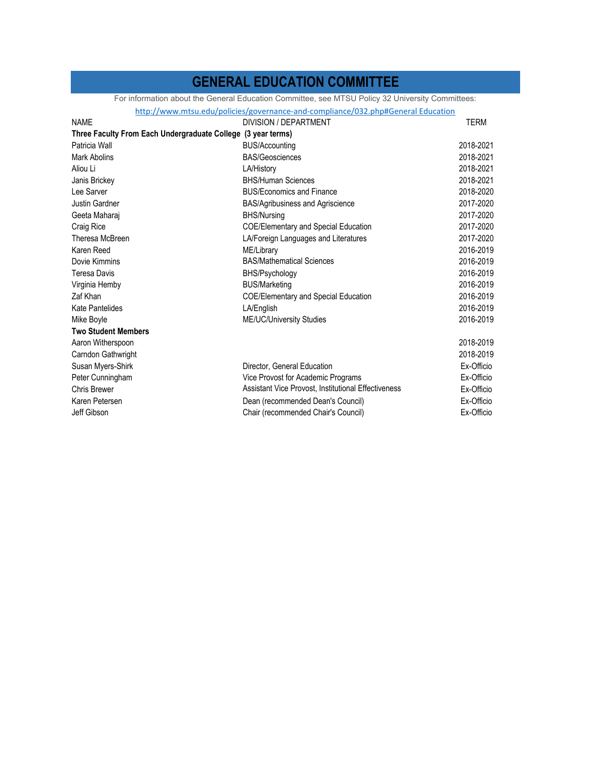### **GENERAL EDUCATION COMMITTEE**

For information about the General Education Committee, see MTSU Policy 32 University Committees:<br>http://www.mtsu.edu/policies/governance-and-compliance/032.php#General Education

|                                                              | http://www.mtsu.edu/policies/governance-and-compliance/032.php#General Education |             |
|--------------------------------------------------------------|----------------------------------------------------------------------------------|-------------|
| <b>NAME</b>                                                  | DIVISION / DEPARTMENT                                                            | <b>TERM</b> |
| Three Faculty From Each Undergraduate College (3 year terms) |                                                                                  |             |
| Patricia Wall                                                | <b>BUS/Accounting</b>                                                            | 2018-2021   |
| <b>Mark Abolins</b>                                          | <b>BAS/Geosciences</b>                                                           | 2018-2021   |
| Aliou Li                                                     | LA/History                                                                       | 2018-2021   |
| Janis Brickey                                                | <b>BHS/Human Sciences</b>                                                        | 2018-2021   |
| Lee Sarver                                                   | <b>BUS/Economics and Finance</b>                                                 | 2018-2020   |
| Justin Gardner                                               | <b>BAS/Agribusiness and Agriscience</b>                                          | 2017-2020   |
| Geeta Maharaj                                                | <b>BHS/Nursing</b>                                                               | 2017-2020   |
| Craig Rice                                                   | <b>COE/Elementary and Special Education</b>                                      | 2017-2020   |
| Theresa McBreen                                              | LA/Foreign Languages and Literatures                                             | 2017-2020   |
| Karen Reed                                                   | ME/Library                                                                       | 2016-2019   |
| Dovie Kimmins                                                | <b>BAS/Mathematical Sciences</b>                                                 | 2016-2019   |
| <b>Teresa Davis</b>                                          | BHS/Psychology                                                                   | 2016-2019   |
| Virginia Hemby                                               | <b>BUS/Marketing</b>                                                             | 2016-2019   |
| Zaf Khan                                                     | <b>COE/Elementary and Special Education</b>                                      | 2016-2019   |
| Kate Pantelides                                              | LA/English                                                                       | 2016-2019   |
| Mike Boyle                                                   | ME/UC/University Studies                                                         | 2016-2019   |
| <b>Two Student Members</b>                                   |                                                                                  |             |
| Aaron Witherspoon                                            |                                                                                  | 2018-2019   |
| Carndon Gathwright                                           |                                                                                  | 2018-2019   |
| Susan Myers-Shirk                                            | Director, General Education                                                      | Ex-Officio  |
| Peter Cunningham                                             | Vice Provost for Academic Programs                                               | Ex-Officio  |
| <b>Chris Brewer</b>                                          | Assistant Vice Provost, Institutional Effectiveness                              | Ex-Officio  |
| Karen Petersen                                               | Dean (recommended Dean's Council)                                                | Ex-Officio  |
| Jeff Gibson                                                  | Chair (recommended Chair's Council)                                              | Ex-Officio  |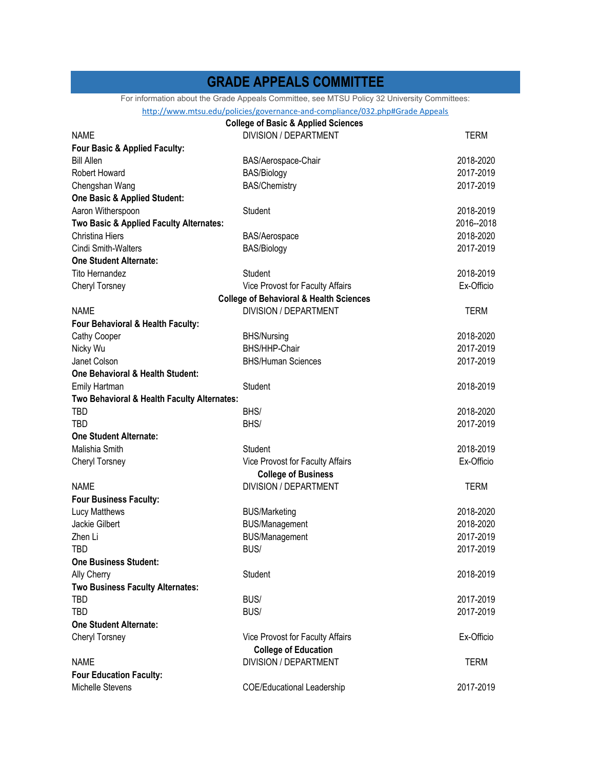### **GRADE APPEALS COMMITTEE**

For information about the Grade Appeals Committee, see MTSU Policy 32 University Committees:

#### http://www.mtsu.edu/policies/governance‐and‐compliance/032.php#Grade Appeals

|                                             | <b>College of Basic &amp; Applied Sciences</b>     |             |
|---------------------------------------------|----------------------------------------------------|-------------|
| <b>NAME</b>                                 | <b>DIVISION / DEPARTMENT</b>                       | <b>TERM</b> |
| Four Basic & Applied Faculty:               |                                                    |             |
| <b>Bill Allen</b>                           | BAS/Aerospace-Chair                                | 2018-2020   |
| Robert Howard                               | <b>BAS/Biology</b>                                 | 2017-2019   |
| Chengshan Wang                              | <b>BAS/Chemistry</b>                               | 2017-2019   |
| <b>One Basic &amp; Applied Student:</b>     |                                                    |             |
| Aaron Witherspoon                           | Student                                            | 2018-2019   |
| Two Basic & Applied Faculty Alternates:     |                                                    | 2016--2018  |
| <b>Christina Hiers</b>                      | BAS/Aerospace                                      | 2018-2020   |
| <b>Cindi Smith-Walters</b>                  | <b>BAS/Biology</b>                                 | 2017-2019   |
| <b>One Student Alternate:</b>               |                                                    |             |
| <b>Tito Hernandez</b>                       | Student                                            | 2018-2019   |
| Cheryl Torsney                              | Vice Provost for Faculty Affairs                   | Ex-Officio  |
|                                             | <b>College of Behavioral &amp; Health Sciences</b> |             |
| <b>NAME</b>                                 | <b>DIVISION / DEPARTMENT</b>                       | <b>TERM</b> |
| Four Behavioral & Health Faculty:           |                                                    |             |
| <b>Cathy Cooper</b>                         | <b>BHS/Nursing</b>                                 | 2018-2020   |
| Nicky Wu                                    | BHS/HHP-Chair                                      | 2017-2019   |
| Janet Colson                                | <b>BHS/Human Sciences</b>                          | 2017-2019   |
| One Behavioral & Health Student:            |                                                    |             |
| <b>Emily Hartman</b>                        | Student                                            | 2018-2019   |
| Two Behavioral & Health Faculty Alternates: |                                                    |             |
| <b>TBD</b>                                  | BHS/                                               | 2018-2020   |
| TBD                                         | BHS/                                               | 2017-2019   |
| <b>One Student Alternate:</b>               |                                                    |             |
| Malishia Smith                              | Student                                            | 2018-2019   |
| Cheryl Torsney                              | Vice Provost for Faculty Affairs                   | Ex-Officio  |
|                                             | <b>College of Business</b>                         |             |
| <b>NAME</b>                                 | <b>DIVISION / DEPARTMENT</b>                       | TERM        |
| <b>Four Business Faculty:</b>               |                                                    |             |
| Lucy Matthews                               | <b>BUS/Marketing</b>                               | 2018-2020   |
| Jackie Gilbert                              | <b>BUS/Management</b>                              | 2018-2020   |
| Zhen Li                                     | <b>BUS/Management</b>                              | 2017-2019   |
| TBD                                         | BUS/                                               | 2017-2019   |
| <b>One Business Student:</b>                |                                                    |             |
| Ally Cherry                                 | Student                                            | 2018-2019   |
| Two Business Faculty Alternates:            |                                                    |             |
| TBD                                         | BUS/                                               | 2017-2019   |
| <b>TBD</b>                                  | BUS/                                               | 2017-2019   |
| <b>One Student Alternate:</b>               |                                                    |             |
| <b>Cheryl Torsney</b>                       | Vice Provost for Faculty Affairs                   | Ex-Officio  |
|                                             | <b>College of Education</b>                        |             |
| <b>NAME</b>                                 | <b>DIVISION / DEPARTMENT</b>                       | TERM        |
| <b>Four Education Faculty:</b>              |                                                    |             |
| Michelle Stevens                            | <b>COE/Educational Leadership</b>                  | 2017-2019   |
|                                             |                                                    |             |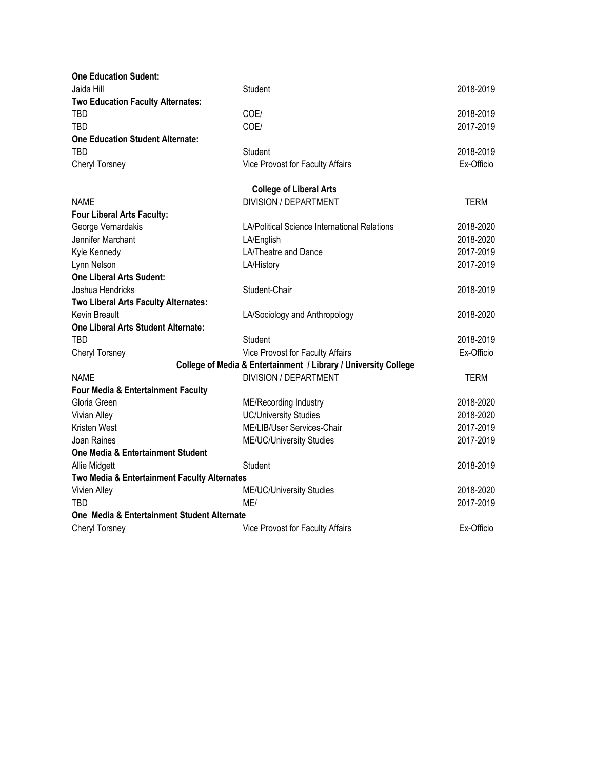| <b>One Education Sudent:</b>                  |                                                                 |             |
|-----------------------------------------------|-----------------------------------------------------------------|-------------|
| Jaida Hill                                    | Student                                                         | 2018-2019   |
| <b>Two Education Faculty Alternates:</b>      |                                                                 |             |
| <b>TBD</b>                                    | COE/                                                            | 2018-2019   |
| TBD                                           | COE/                                                            | 2017-2019   |
| <b>One Education Student Alternate:</b>       |                                                                 |             |
| <b>TBD</b>                                    | Student                                                         | 2018-2019   |
| Cheryl Torsney                                | Vice Provost for Faculty Affairs                                | Ex-Officio  |
|                                               | <b>College of Liberal Arts</b>                                  |             |
| <b>NAME</b>                                   | <b>DIVISION / DEPARTMENT</b>                                    | <b>TERM</b> |
| Four Liberal Arts Faculty:                    |                                                                 |             |
| George Vernardakis                            | LA/Political Science International Relations                    | 2018-2020   |
| Jennifer Marchant                             | LA/English                                                      | 2018-2020   |
| Kyle Kennedy                                  | LA/Theatre and Dance                                            | 2017-2019   |
| Lynn Nelson                                   | LA/History                                                      | 2017-2019   |
| <b>One Liberal Arts Sudent:</b>               |                                                                 |             |
| Joshua Hendricks                              | Student-Chair                                                   | 2018-2019   |
| Two Liberal Arts Faculty Alternates:          |                                                                 |             |
| Kevin Breault                                 | LA/Sociology and Anthropology                                   | 2018-2020   |
| <b>One Liberal Arts Student Alternate:</b>    |                                                                 |             |
| TBD                                           | Student                                                         | 2018-2019   |
| Cheryl Torsney                                | Vice Provost for Faculty Affairs                                | Ex-Officio  |
|                                               | College of Media & Entertainment / Library / University College |             |
| <b>NAME</b>                                   | <b>DIVISION / DEPARTMENT</b>                                    | TERM        |
| <b>Four Media &amp; Entertainment Faculty</b> |                                                                 |             |
| Gloria Green                                  | ME/Recording Industry                                           | 2018-2020   |
| Vivian Alley                                  | <b>UC/University Studies</b>                                    | 2018-2020   |
| <b>Kristen West</b>                           | ME/LIB/User Services-Chair                                      | 2017-2019   |
| Joan Raines                                   | ME/UC/University Studies                                        | 2017-2019   |
| <b>One Media &amp; Entertainment Student</b>  |                                                                 |             |
| Allie Midgett                                 | Student                                                         | 2018-2019   |
| Two Media & Entertainment Faculty Alternates  |                                                                 |             |
| Vivien Alley                                  | ME/UC/University Studies                                        | 2018-2020   |
| <b>TBD</b>                                    | ME/                                                             | 2017-2019   |
| One Media & Entertainment Student Alternate   |                                                                 |             |
| Cheryl Torsney                                | Vice Provost for Faculty Affairs                                | Ex-Officio  |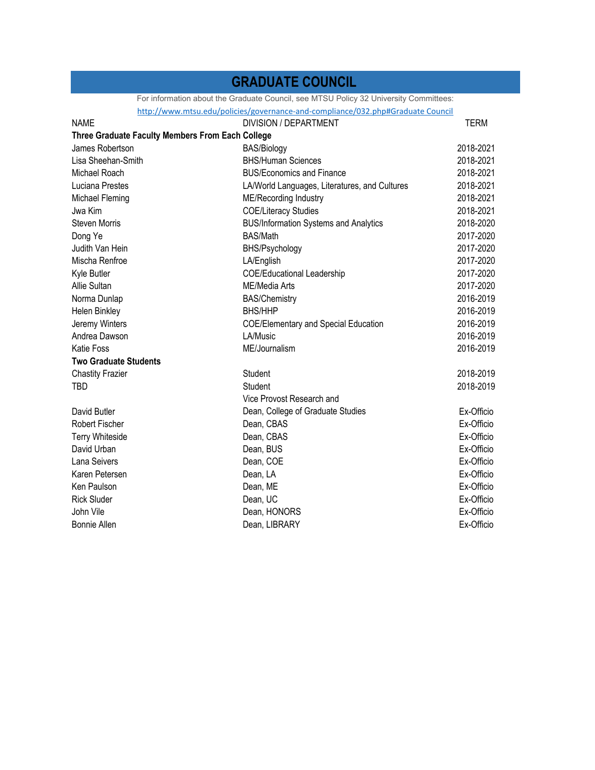### **GRADUATE COUNCIL**

For information about the Graduate Council, see MTSU Policy 32 University Committees:

http://www.mtsu.edu/policies/governance‐and‐compliance/032.php#Graduate Council

| <b>NAME</b>                                      | <b>DIVISION / DEPARTMENT</b>                  | <b>TERM</b> |
|--------------------------------------------------|-----------------------------------------------|-------------|
| Three Graduate Faculty Members From Each College |                                               |             |
| James Robertson                                  | <b>BAS/Biology</b>                            | 2018-2021   |
| Lisa Sheehan-Smith                               | <b>BHS/Human Sciences</b>                     | 2018-2021   |
| Michael Roach                                    | <b>BUS/Economics and Finance</b>              | 2018-2021   |
| Luciana Prestes                                  | LA/World Languages, Literatures, and Cultures | 2018-2021   |
| Michael Fleming                                  | ME/Recording Industry                         | 2018-2021   |
| Jwa Kim                                          | <b>COE/Literacy Studies</b>                   | 2018-2021   |
| <b>Steven Morris</b>                             | <b>BUS/Information Systems and Analytics</b>  | 2018-2020   |
| Dong Ye                                          | BAS/Math                                      | 2017-2020   |
| Judith Van Hein                                  | BHS/Psychology                                | 2017-2020   |
| Mischa Renfroe                                   | LA/English                                    | 2017-2020   |
| Kyle Butler                                      | <b>COE/Educational Leadership</b>             | 2017-2020   |
| Allie Sultan                                     | ME/Media Arts                                 | 2017-2020   |
| Norma Dunlap                                     | <b>BAS/Chemistry</b>                          | 2016-2019   |
| Helen Binkley                                    | <b>BHS/HHP</b>                                | 2016-2019   |
| Jeremy Winters                                   | <b>COE/Elementary and Special Education</b>   | 2016-2019   |
| Andrea Dawson                                    | LA/Music                                      | 2016-2019   |
| <b>Katie Foss</b>                                | ME/Journalism                                 | 2016-2019   |
| <b>Two Graduate Students</b>                     |                                               |             |
| <b>Chastity Frazier</b>                          | Student                                       | 2018-2019   |
| TBD                                              | Student                                       | 2018-2019   |
|                                                  | Vice Provost Research and                     |             |
| David Butler                                     | Dean, College of Graduate Studies             | Ex-Officio  |
| Robert Fischer                                   | Dean, CBAS                                    | Ex-Officio  |
| <b>Terry Whiteside</b>                           | Dean, CBAS                                    | Ex-Officio  |
| David Urban                                      | Dean, BUS                                     | Ex-Officio  |
| Lana Seivers                                     | Dean, COE                                     | Ex-Officio  |
| Karen Petersen                                   | Dean, LA                                      | Ex-Officio  |
| Ken Paulson                                      | Dean, ME                                      | Ex-Officio  |
| <b>Rick Sluder</b>                               | Dean, UC                                      | Ex-Officio  |
| John Vile                                        | Dean, HONORS                                  | Ex-Officio  |
| <b>Bonnie Allen</b>                              | Dean, LIBRARY                                 | Ex-Officio  |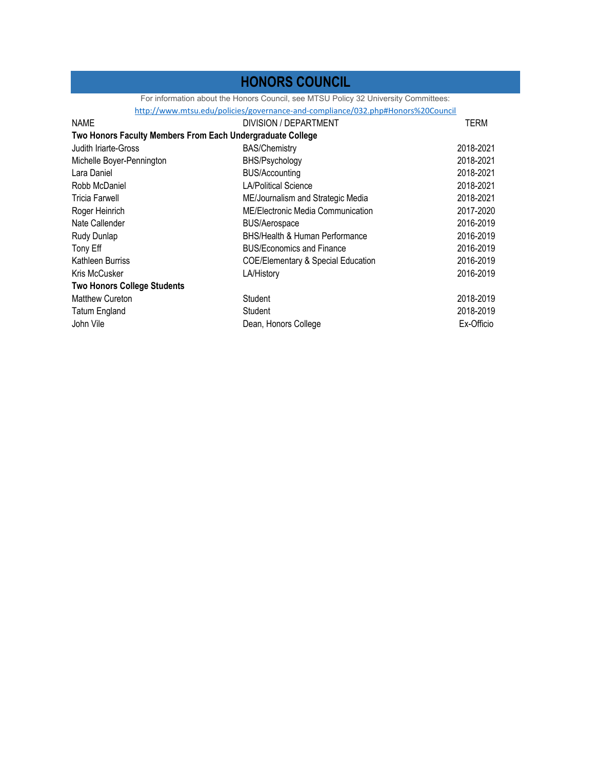### **HONORS COUNCIL**

For information about the Honors Council, see MTSU Policy 32 University Committees:

http://www.mtsu.edu/policies/governance‐and‐compliance/032.php#Honors%20Council

| <b>NAME</b>                                                | DIVISION / DEPARTMENT                         | TERM       |
|------------------------------------------------------------|-----------------------------------------------|------------|
| Two Honors Faculty Members From Each Undergraduate College |                                               |            |
| Judith Iriarte-Gross                                       | <b>BAS/Chemistry</b>                          | 2018-2021  |
| Michelle Boyer-Pennington                                  | BHS/Psychology                                | 2018-2021  |
| Lara Daniel                                                | <b>BUS/Accounting</b>                         | 2018-2021  |
| Robb McDaniel                                              | <b>LA/Political Science</b>                   | 2018-2021  |
| Tricia Farwell                                             | ME/Journalism and Strategic Media             | 2018-2021  |
| Roger Heinrich                                             | ME/Electronic Media Communication             | 2017-2020  |
| Nate Callender                                             | <b>BUS/Aerospace</b>                          | 2016-2019  |
| Rudy Dunlap                                                | <b>BHS/Health &amp; Human Performance</b>     | 2016-2019  |
| Tony Eff                                                   | <b>BUS/Economics and Finance</b>              | 2016-2019  |
| Kathleen Burriss                                           | <b>COE/Elementary &amp; Special Education</b> | 2016-2019  |
| Kris McCusker                                              | LA/History                                    | 2016-2019  |
| <b>Two Honors College Students</b>                         |                                               |            |
| <b>Matthew Cureton</b>                                     | Student                                       | 2018-2019  |
| <b>Tatum England</b>                                       | Student                                       | 2018-2019  |
| John Vile                                                  | Dean, Honors College                          | Ex-Officio |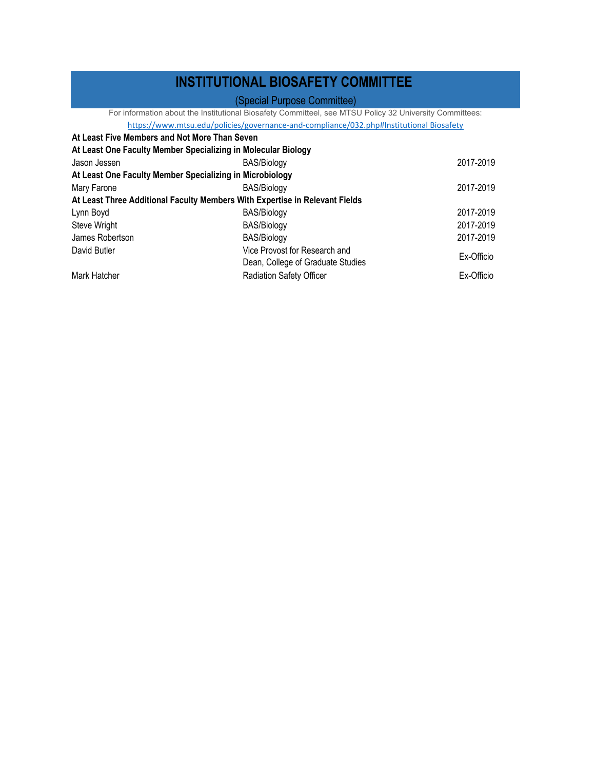### **INSTITUTIONAL BIOSAFETY COMMITTEE**

### (Special Purpose Committee)

For information about the Institutional Biosafety Committeel, see MTSU Policy 32 University Committees:

https://www.mtsu.edu/policies/governance-and-compliance/032.php#Institutional Biosafety

| At Least Five Members and Not More Than Seven            |                                                                             |            |
|----------------------------------------------------------|-----------------------------------------------------------------------------|------------|
|                                                          | At Least One Faculty Member Specializing in Molecular Biology               |            |
| Jason Jessen                                             | <b>BAS/Biology</b>                                                          | 2017-2019  |
| At Least One Faculty Member Specializing in Microbiology |                                                                             |            |
| Mary Farone                                              | <b>BAS/Biology</b>                                                          | 2017-2019  |
|                                                          | At Least Three Additional Faculty Members With Expertise in Relevant Fields |            |
| Lynn Boyd                                                | <b>BAS/Biology</b>                                                          | 2017-2019  |
| Steve Wright                                             | <b>BAS/Biology</b>                                                          | 2017-2019  |
| James Robertson                                          | BAS/Biology                                                                 | 2017-2019  |
| David Butler                                             | Vice Provost for Research and                                               | Ex-Officio |
|                                                          | Dean, College of Graduate Studies                                           |            |
| Mark Hatcher                                             | <b>Radiation Safety Officer</b>                                             | Ex-Officio |
|                                                          |                                                                             |            |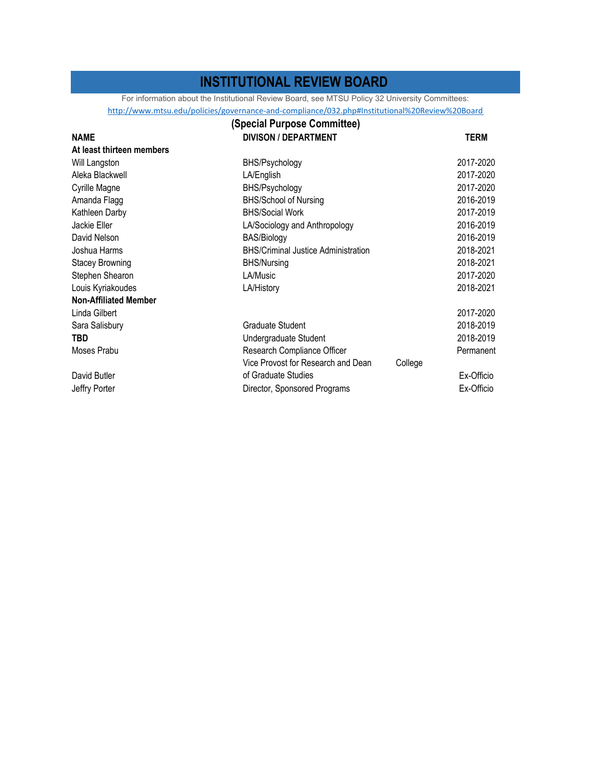### **INSTITUTIONAL REVIEW BOARD**

For information about the Institutional Review Board, see MTSU Policy 32 University Committees:

http://www.mtsu.edu/policies/governance‐and‐compliance/032.php#Institutional%20Review%20Board

|                              | (Special Purpose Committee)                |         |            |
|------------------------------|--------------------------------------------|---------|------------|
| <b>NAME</b>                  | <b>DIVISON / DEPARTMENT</b>                |         | TERM       |
| At least thirteen members    |                                            |         |            |
| Will Langston                | BHS/Psychology                             |         | 2017-2020  |
| Aleka Blackwell              | LA/English                                 |         | 2017-2020  |
| Cyrille Magne                | BHS/Psychology                             |         | 2017-2020  |
| Amanda Flagg                 | <b>BHS/School of Nursing</b>               |         | 2016-2019  |
| Kathleen Darby               | <b>BHS/Social Work</b>                     |         | 2017-2019  |
| Jackie Eller                 | LA/Sociology and Anthropology              |         | 2016-2019  |
| David Nelson                 | BAS/Biology                                |         | 2016-2019  |
| Joshua Harms                 | <b>BHS/Criminal Justice Administration</b> |         | 2018-2021  |
| <b>Stacey Browning</b>       | <b>BHS/Nursing</b>                         |         | 2018-2021  |
| Stephen Shearon              | LA/Music                                   |         | 2017-2020  |
| Louis Kyriakoudes            | LA/History                                 |         | 2018-2021  |
| <b>Non-Affiliated Member</b> |                                            |         |            |
| Linda Gilbert                |                                            |         | 2017-2020  |
| Sara Salisbury               | Graduate Student                           |         | 2018-2019  |
| <b>TBD</b>                   | Undergraduate Student                      |         | 2018-2019  |
| Moses Prabu                  | Research Compliance Officer                |         | Permanent  |
|                              | Vice Provost for Research and Dean         | College |            |
| David Butler                 | of Graduate Studies                        |         | Ex-Officio |
| Jeffry Porter                | Director, Sponsored Programs               |         | Ex-Officio |
|                              |                                            |         |            |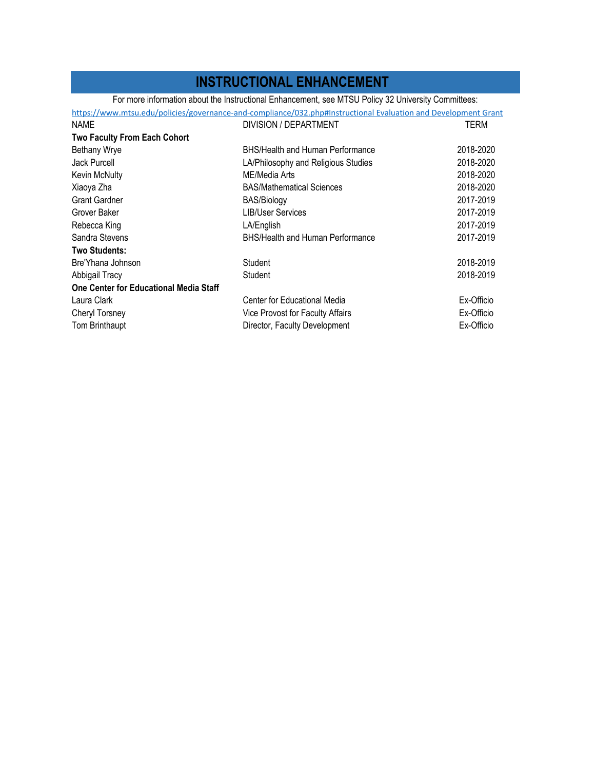### **INSTRUCTIONAL ENHANCEMENT**

For more information about the Instructional Enhancement, see MTSU Policy 32 University Committees:

| TERM<br>2018-2020 |
|-------------------|
|                   |
|                   |
|                   |
| 2018-2020         |
| 2018-2020         |
| 2018-2020         |
| 2017-2019         |
| 2017-2019         |
| 2017-2019         |
| 2017-2019         |
|                   |
| 2018-2019         |
| 2018-2019         |
|                   |
| Ex-Officio        |
| Ex-Officio        |
| Ex-Officio        |
|                   |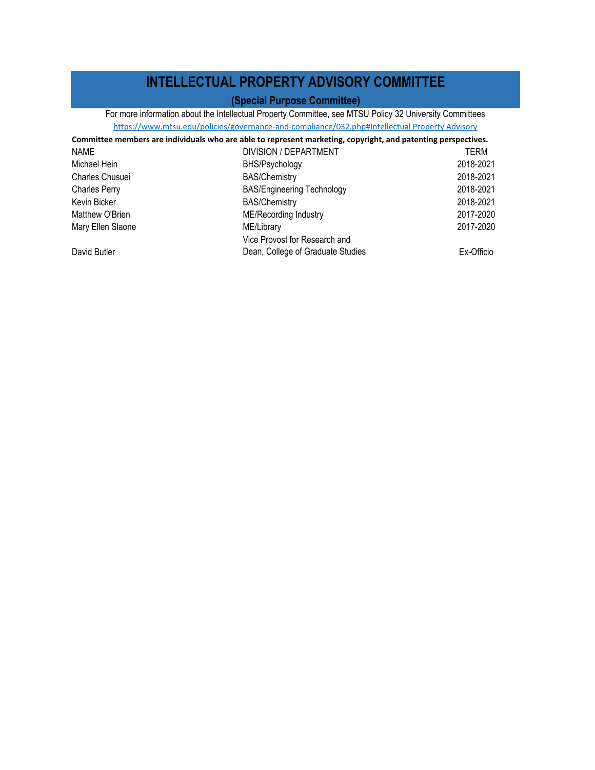### **INTELLECTUAL PROPERTY ADVISORY COMMITTEE**

#### **(Special Purpose Committee)**

For more information about the Intellectual Property Committee, see MTSU Policy 32 University Committees https://www.mtsu.edu/policies/governance‐and‐compliance/032.php#Intellectual Property Advisory

Vice Provost for Research and

| <u>the political called the component of the component of the component of the component of the component of the component of the component of the component of the component of the component of the component of the component</u> |                                   |           |  |
|--------------------------------------------------------------------------------------------------------------------------------------------------------------------------------------------------------------------------------------|-----------------------------------|-----------|--|
| Committee members are individuals who are able to represent marketing, copyright, and patenting perspectives.                                                                                                                        |                                   |           |  |
| <b>NAME</b>                                                                                                                                                                                                                          | DIVISION / DEPARTMENT             | TERM      |  |
| Michael Hein                                                                                                                                                                                                                         | BHS/Psychology                    | 2018-2021 |  |
| Charles Chusuei                                                                                                                                                                                                                      | <b>BAS/Chemistry</b>              | 2018-2021 |  |
| Charles Perry                                                                                                                                                                                                                        | <b>BAS/Engineering Technology</b> | 2018-2021 |  |

Kevin Bicker 2018-2021 BAS/Chemistry BAS/Chemistry 2018-2021 Matthew O'Brien **ME/Recording Industry** ME/Recording Industry 2017-2020 Mary Ellen Slaone **ME/Library** ME/Library 2017-2020

David Butler

Dean, College of Graduate Studies Ex-Officio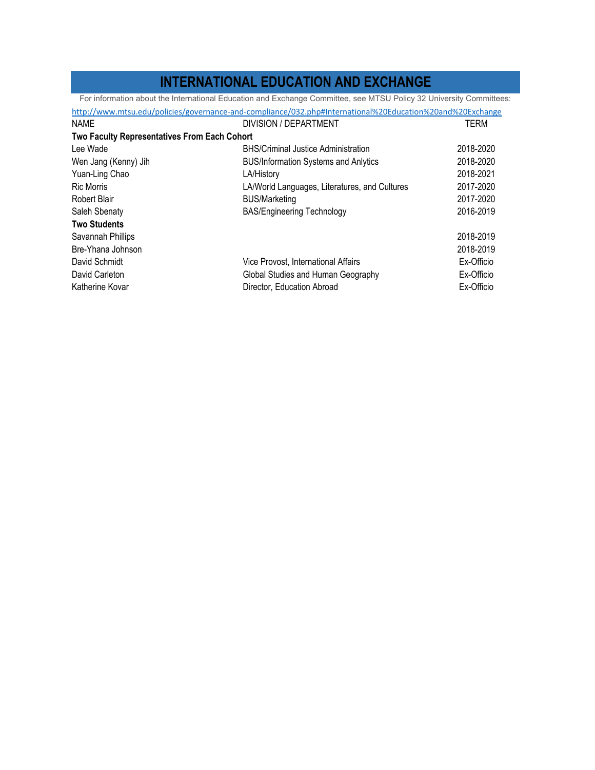### **INTERNATIONAL EDUCATION AND EXCHANGE**

For information about the International Education and Exchange Committee, see MTSU Policy 32 University Committees:

| http://www.mtsu.edu/policies/governance-and-compliance/032.php#International%20Education%20and%20Exchange |                                               |            |  |
|-----------------------------------------------------------------------------------------------------------|-----------------------------------------------|------------|--|
| <b>NAME</b>                                                                                               | DIVISION / DEPARTMENT                         | TERM       |  |
| <b>Two Faculty Representatives From Each Cohort</b>                                                       |                                               |            |  |
| Lee Wade                                                                                                  | <b>BHS/Criminal Justice Administration</b>    | 2018-2020  |  |
| Wen Jang (Kenny) Jih                                                                                      | <b>BUS/Information Systems and Anlytics</b>   | 2018-2020  |  |
| Yuan-Ling Chao                                                                                            | LA/History                                    | 2018-2021  |  |
| <b>Ric Morris</b>                                                                                         | LA/World Languages, Literatures, and Cultures | 2017-2020  |  |
| Robert Blair                                                                                              | <b>BUS/Marketing</b>                          | 2017-2020  |  |
| Saleh Sbenaty                                                                                             | <b>BAS/Engineering Technology</b>             | 2016-2019  |  |
| <b>Two Students</b>                                                                                       |                                               |            |  |
| Savannah Phillips                                                                                         |                                               | 2018-2019  |  |
| Bre-Yhana Johnson                                                                                         |                                               | 2018-2019  |  |
| David Schmidt                                                                                             | Vice Provost, International Affairs           | Ex-Officio |  |
| David Carleton                                                                                            | Global Studies and Human Geography            | Ex-Officio |  |
| Katherine Kovar                                                                                           | Director, Education Abroad                    | Ex-Officio |  |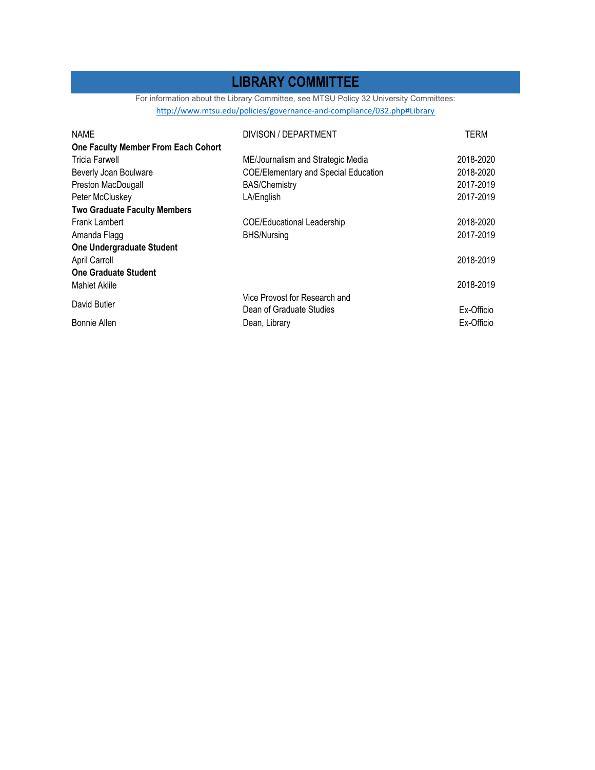### **LIBRARY COMMITTEE**

For information about the Library Committee, see MTSU Policy 32 University Committees: http://www.mtsu.edu/policies/governance‐and‐compliance/032.php#Library

| <b>NAME</b>                         | DIVISON / DEPARTMENT                        | <b>TERM</b> |
|-------------------------------------|---------------------------------------------|-------------|
| One Faculty Member From Each Cohort |                                             |             |
| <b>Tricia Farwell</b>               | ME/Journalism and Strategic Media           | 2018-2020   |
| Beverly Joan Boulware               | <b>COE/Elementary and Special Education</b> | 2018-2020   |
| Preston MacDougall                  | <b>BAS/Chemistry</b>                        | 2017-2019   |
| Peter McCluskey                     | LA/English                                  | 2017-2019   |
| <b>Two Graduate Faculty Members</b> |                                             |             |
| <b>Frank Lambert</b>                | <b>COE/Educational Leadership</b>           | 2018-2020   |
| Amanda Flagg                        | <b>BHS/Nursing</b>                          | 2017-2019   |
| <b>One Undergraduate Student</b>    |                                             |             |
| April Carroll                       |                                             | 2018-2019   |
| <b>One Graduate Student</b>         |                                             |             |
| Mahlet Aklile                       |                                             | 2018-2019   |
|                                     | Vice Provost for Research and               |             |
| David Butler                        | Dean of Graduate Studies                    | Ex-Officio  |
| <b>Bonnie Allen</b>                 | Dean, Library                               | Ex-Officio  |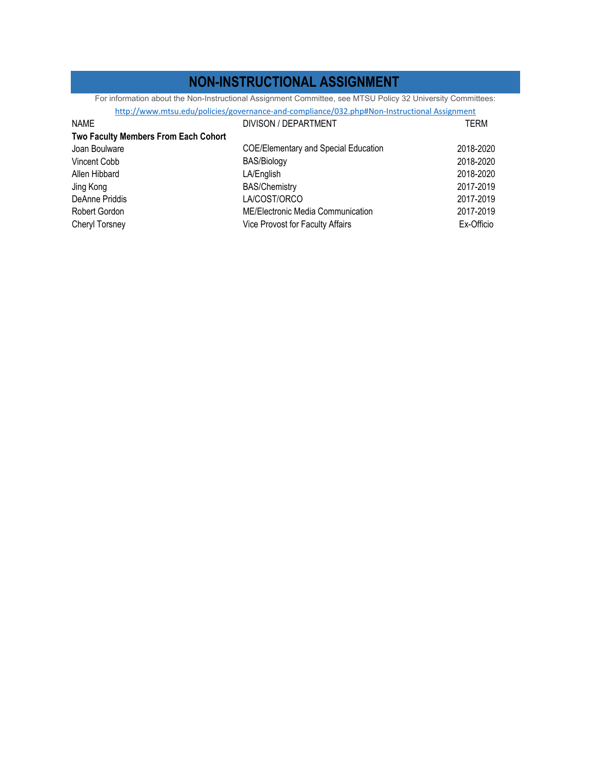### **NON-INSTRUCTIONAL ASSIGNMENT**

For information about the Non-Instructional Assignment Committee, see MTSU Policy 32 University Committees:

| http://www.mtsu.edu/policies/governance-and-compliance/032.php#Non-Instructional Assignment |                                             |            |
|---------------------------------------------------------------------------------------------|---------------------------------------------|------------|
| <b>NAME</b>                                                                                 | DIVISON / DEPARTMENT                        | TERM       |
| Two Faculty Members From Each Cohort                                                        |                                             |            |
| Joan Boulware                                                                               | <b>COE/Elementary and Special Education</b> | 2018-2020  |
| Vincent Cobb                                                                                | <b>BAS/Biology</b>                          | 2018-2020  |
| Allen Hibbard                                                                               | LA/English                                  | 2018-2020  |
| Jing Kong                                                                                   | <b>BAS/Chemistry</b>                        | 2017-2019  |
| DeAnne Priddis                                                                              | LA/COST/ORCO                                | 2017-2019  |
| Robert Gordon                                                                               | ME/Electronic Media Communication           | 2017-2019  |
| Cheryl Torsney                                                                              | Vice Provost for Faculty Affairs            | Ex-Officio |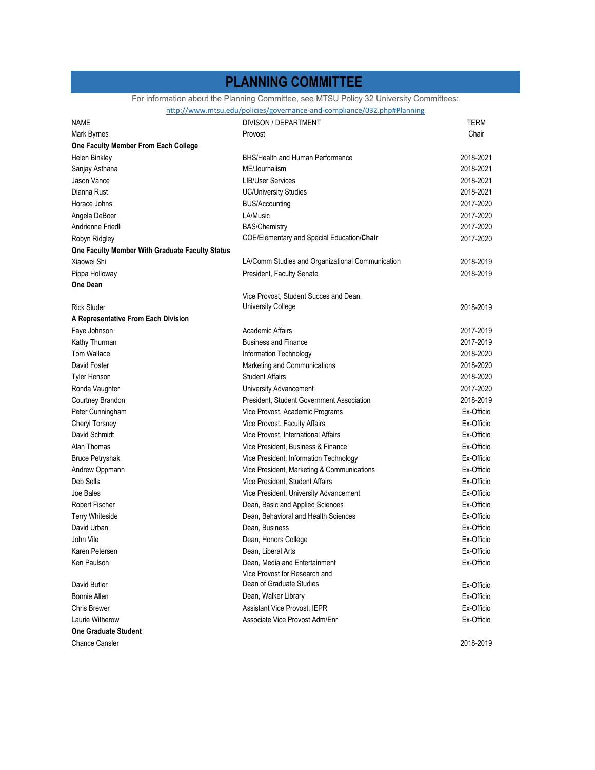### **PLANNING COMMITTEE**

For information about the Planning Committee, see MTSU Policy 32 University Committees:

http://www.mtsu.edu/policies/governance‐and‐compliance/032.php#Planning

| <b>NAME</b>                                     | DIVISON / DEPARTMENT                              | TERM       |
|-------------------------------------------------|---------------------------------------------------|------------|
| Mark Byrnes                                     | Provost                                           | Chair      |
| One Faculty Member From Each College            |                                                   |            |
| Helen Binkley                                   | <b>BHS/Health and Human Performance</b>           | 2018-2021  |
| Sanjay Asthana                                  | ME/Journalism                                     | 2018-2021  |
| Jason Vance                                     | <b>LIB/User Services</b>                          | 2018-2021  |
| Dianna Rust                                     | <b>UC/University Studies</b>                      | 2018-2021  |
| Horace Johns                                    | <b>BUS/Accounting</b>                             | 2017-2020  |
| Angela DeBoer                                   | LA/Music                                          | 2017-2020  |
| Andrienne Friedli                               | <b>BAS/Chemistry</b>                              | 2017-2020  |
| Robyn Ridgley                                   | <b>COE/Elementary and Special Education/Chair</b> | 2017-2020  |
| One Faculty Member With Graduate Faculty Status |                                                   |            |
| Xiaowei Shi                                     | LA/Comm Studies and Organizational Communication  | 2018-2019  |
| Pippa Holloway                                  | President, Faculty Senate                         | 2018-2019  |
| <b>One Dean</b>                                 |                                                   |            |
|                                                 | Vice Provost, Student Succes and Dean,            |            |
| <b>Rick Sluder</b>                              | <b>University College</b>                         | 2018-2019  |
| A Representative From Each Division             |                                                   |            |
| Faye Johnson                                    | Academic Affairs                                  | 2017-2019  |
| Kathy Thurman                                   | <b>Business and Finance</b>                       | 2017-2019  |
| Tom Wallace                                     | Information Technology                            | 2018-2020  |
| David Foster                                    | Marketing and Communications                      | 2018-2020  |
| Tyler Henson                                    | <b>Student Affairs</b>                            | 2018-2020  |
| Ronda Vaughter                                  | University Advancement                            | 2017-2020  |
| Courtney Brandon                                | President, Student Government Association         | 2018-2019  |
| Peter Cunningham                                | Vice Provost, Academic Programs                   | Ex-Officio |
| Cheryl Torsney                                  | Vice Provost, Faculty Affairs                     | Ex-Officio |
| David Schmidt                                   | Vice Provost, International Affairs               | Ex-Officio |
| Alan Thomas                                     | Vice President, Business & Finance                | Ex-Officio |
| <b>Bruce Petryshak</b>                          | Vice President, Information Technology            | Ex-Officio |
| Andrew Oppmann                                  | Vice President, Marketing & Communications        | Ex-Officio |
| Deb Sells                                       | Vice President, Student Affairs                   | Ex-Officio |
| Joe Bales                                       | Vice President, University Advancement            | Ex-Officio |
| <b>Robert Fischer</b>                           | Dean, Basic and Applied Sciences                  | Ex-Officio |
| Terry Whiteside                                 | Dean, Behavioral and Health Sciences              | Ex-Officio |
| David Urban                                     | Dean, Business                                    | Ex-Officio |
| John Vile                                       | Dean, Honors College                              | Ex-Officio |
| Karen Petersen                                  | Dean, Liberal Arts                                | Ex-Officio |
| Ken Paulson                                     | Dean, Media and Entertainment                     | Ex-Officio |
|                                                 | Vice Provost for Research and                     |            |
| David Butler                                    | Dean of Graduate Studies                          | Ex-Officio |
| Bonnie Allen                                    | Dean, Walker Library                              | Ex-Officio |
| Chris Brewer                                    | <b>Assistant Vice Provost, IEPR</b>               | Ex-Officio |
| Laurie Witherow                                 | Associate Vice Provost Adm/Enr                    | Ex-Officio |
| <b>One Graduate Student</b>                     |                                                   |            |
| <b>Chance Cansler</b>                           |                                                   | 2018-2019  |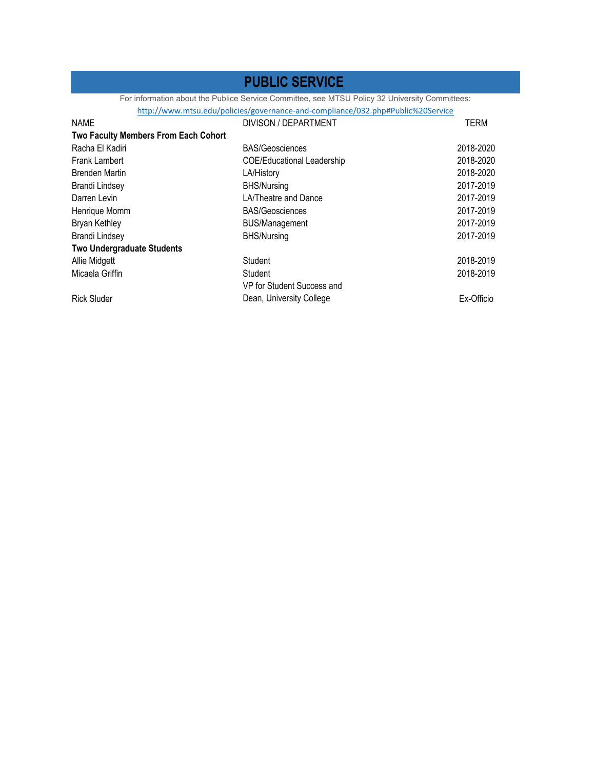### **PUBLIC SERVICE**

For information about the Publice Service Committee, see MTSU Policy 32 University Committees:

|                                   |                                             | http://www.mtsu.edu/policies/governance-and-compliance/032.php#Public%20Service |             |
|-----------------------------------|---------------------------------------------|---------------------------------------------------------------------------------|-------------|
| <b>NAME</b>                       |                                             | DIVISON / DEPARTMENT                                                            | <b>TERM</b> |
|                                   | <b>Two Faculty Members From Each Cohort</b> |                                                                                 |             |
| Racha El Kadiri                   |                                             | <b>BAS/Geosciences</b>                                                          | 2018-2020   |
| <b>Frank Lambert</b>              |                                             | <b>COE/Educational Leadership</b>                                               | 2018-2020   |
| <b>Brenden Martin</b>             |                                             | LA/History                                                                      | 2018-2020   |
| <b>Brandi Lindsey</b>             |                                             | <b>BHS/Nursing</b>                                                              | 2017-2019   |
| Darren Levin                      |                                             | LA/Theatre and Dance                                                            | 2017-2019   |
| Henrique Momm                     |                                             | <b>BAS/Geosciences</b>                                                          | 2017-2019   |
| Bryan Kethley                     |                                             | <b>BUS/Management</b>                                                           | 2017-2019   |
| <b>Brandi Lindsey</b>             |                                             | <b>BHS/Nursing</b>                                                              | 2017-2019   |
| <b>Two Undergraduate Students</b> |                                             |                                                                                 |             |
| Allie Midgett                     |                                             | Student                                                                         | 2018-2019   |
| Micaela Griffin                   |                                             | Student                                                                         | 2018-2019   |
|                                   |                                             | VP for Student Success and                                                      |             |
| <b>Rick Sluder</b>                |                                             | Dean, University College                                                        | Ex-Officio  |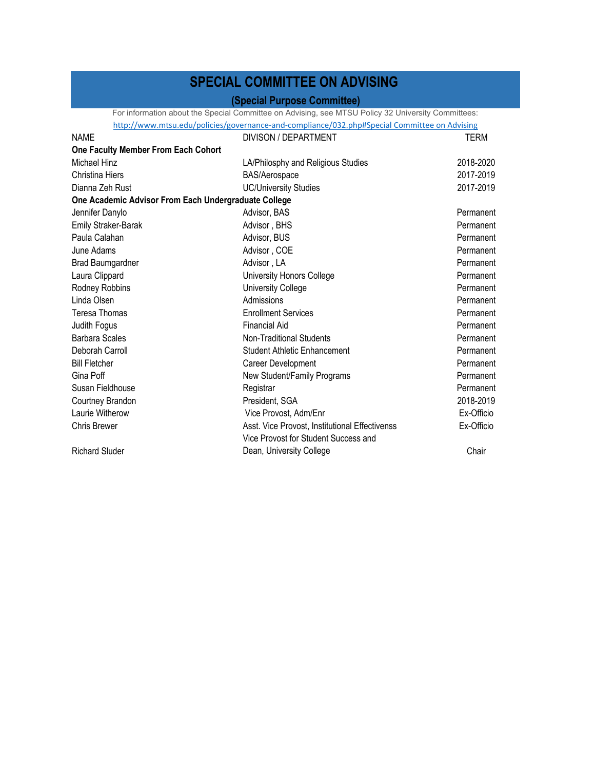## **SPECIAL COMMITTEE ON ADVISING**

### **(Special Purpose Committee)**

For information about the Special Committee on Advising, see MTSU Policy 32 University Committees:<br>http://www.mtsu.edu/policies/governance-and-compliance/032.php#Special Committee on Advising http://www.mtsu.edu/policies/governance-and-compliance

|                                                      | nttp://www.mtsu.edu/policies/governance-and-compliance/032.php#Special Committee on Advising |            |
|------------------------------------------------------|----------------------------------------------------------------------------------------------|------------|
| <b>NAME</b>                                          | DIVISON / DEPARTMENT                                                                         | TERM       |
| One Faculty Member From Each Cohort                  |                                                                                              |            |
| Michael Hinz                                         | LA/Philosphy and Religious Studies                                                           | 2018-2020  |
| Christina Hiers                                      | BAS/Aerospace                                                                                | 2017-2019  |
| Dianna Zeh Rust                                      | <b>UC/University Studies</b>                                                                 | 2017-2019  |
| One Academic Advisor From Each Undergraduate College |                                                                                              |            |
| Jennifer Danylo                                      | Advisor, BAS                                                                                 | Permanent  |
| <b>Emily Straker-Barak</b>                           | Advisor, BHS                                                                                 | Permanent  |
| Paula Calahan                                        | Advisor, BUS                                                                                 | Permanent  |
| June Adams                                           | Advisor, COE                                                                                 | Permanent  |
| <b>Brad Baumgardner</b>                              | Advisor, LA                                                                                  | Permanent  |
| Laura Clippard                                       | University Honors College                                                                    | Permanent  |
| Rodney Robbins                                       | <b>University College</b>                                                                    | Permanent  |
| Linda Olsen                                          | Admissions                                                                                   | Permanent  |
| <b>Teresa Thomas</b>                                 | <b>Enrollment Services</b>                                                                   | Permanent  |
| Judith Fogus                                         | <b>Financial Aid</b>                                                                         | Permanent  |
| <b>Barbara Scales</b>                                | Non-Traditional Students                                                                     | Permanent  |
| Deborah Carroll                                      | <b>Student Athletic Enhancement</b>                                                          | Permanent  |
| <b>Bill Fletcher</b>                                 | Career Development                                                                           | Permanent  |
| Gina Poff                                            | New Student/Family Programs                                                                  | Permanent  |
| Susan Fieldhouse                                     | Registrar                                                                                    | Permanent  |
| Courtney Brandon                                     | President, SGA                                                                               | 2018-2019  |
| Laurie Witherow                                      | Vice Provost, Adm/Enr                                                                        | Ex-Officio |
| <b>Chris Brewer</b>                                  | Asst. Vice Provost, Institutional Effectivenss                                               | Ex-Officio |
|                                                      | Vice Provost for Student Success and                                                         |            |
| <b>Richard Sluder</b>                                | Dean, University College                                                                     | Chair      |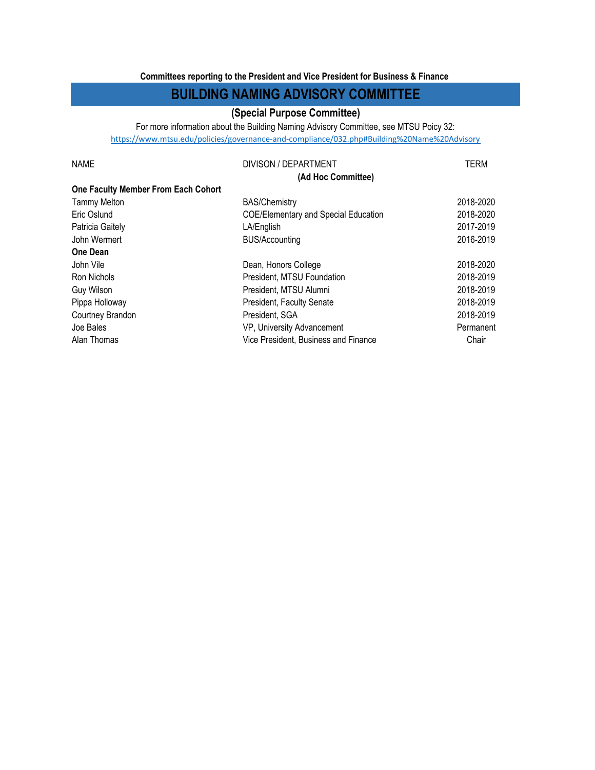#### **Committees reporting to the President and Vice President for Business & Finance**

### **BUILDING NAMING ADVISORY COMMITTEE**

### **(Special Purpose Committee)**

For more information about the Building Naming Advisory Committee, see MTSU Poicy 32: https://www.mtsu.edu/policies/governance‐and‐compliance/032.php#Building%20Name%20Advisory

| <b>NAME</b>                         | DIVISON / DEPARTMENT                        | <b>TERM</b> |
|-------------------------------------|---------------------------------------------|-------------|
|                                     | (Ad Hoc Committee)                          |             |
| One Faculty Member From Each Cohort |                                             |             |
| <b>Tammy Melton</b>                 | <b>BAS/Chemistry</b>                        | 2018-2020   |
| Eric Oslund                         | <b>COE/Elementary and Special Education</b> | 2018-2020   |
| Patricia Gaitely                    | LA/English                                  | 2017-2019   |
| John Wermert                        | <b>BUS/Accounting</b>                       | 2016-2019   |
| <b>One Dean</b>                     |                                             |             |
| John Vile                           | Dean, Honors College                        | 2018-2020   |
| Ron Nichols                         | President, MTSU Foundation                  | 2018-2019   |
| Guy Wilson                          | President, MTSU Alumni                      | 2018-2019   |
| Pippa Holloway                      | <b>President, Faculty Senate</b>            | 2018-2019   |
| Courtney Brandon                    | President, SGA                              | 2018-2019   |
| Joe Bales                           | VP, University Advancement                  | Permanent   |
| Alan Thomas                         | Vice President, Business and Finance        | Chair       |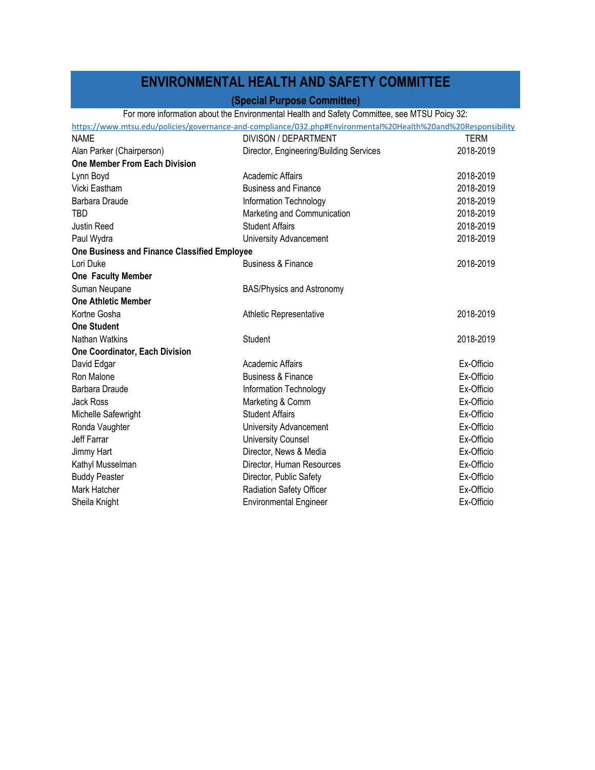## **ENVIRONMENTAL HEALTH AND SAFETY COMMITTEE**

### **(Special Purpose Committee)**

#### For more information about the Environmental Health and Safety Committee, see MTSU Poicy 32:

|                                                                                                               | $\sim$ . There in order the contract the complete contraction of $\sim$ . The contract of $\sim$ $\sim$ $\sim$ $\sim$ $\sim$ $\sim$ $\sim$ |           |  |
|---------------------------------------------------------------------------------------------------------------|--------------------------------------------------------------------------------------------------------------------------------------------|-----------|--|
| https://www.mtsu.edu/policies/governance-and-compliance/032.php#Environmental%20Health%20and%20Responsibility |                                                                                                                                            |           |  |
| <b>NAME</b>                                                                                                   | DIVISON / DEPARTMENT                                                                                                                       | TFRM      |  |
| Alan Parker (Chairperson)                                                                                     | Director, Engineering/Building Services                                                                                                    | 2018-2019 |  |
| One Member From Each Division                                                                                 |                                                                                                                                            |           |  |
| Lynn Boyd                                                                                                     | Academic Affairs                                                                                                                           | 2018-2019 |  |
| Vicki Eastham                                                                                                 | <b>Rugingee and Finance</b>                                                                                                                | 2018-2019 |  |

| _, _v,u                                      |                                  |            |
|----------------------------------------------|----------------------------------|------------|
| Vicki Eastham                                | <b>Business and Finance</b>      | 2018-2019  |
| Barbara Draude                               | Information Technology           | 2018-2019  |
| TBD                                          | Marketing and Communication      | 2018-2019  |
| Justin Reed                                  | <b>Student Affairs</b>           | 2018-2019  |
| Paul Wydra                                   | University Advancement           | 2018-2019  |
| One Business and Finance Classified Employee |                                  |            |
| Lori Duke                                    | <b>Business &amp; Finance</b>    | 2018-2019  |
| One Faculty Member                           |                                  |            |
| Suman Neupane                                | <b>BAS/Physics and Astronomy</b> |            |
| <b>One Athletic Member</b>                   |                                  |            |
| Kortne Gosha                                 | Athletic Representative          | 2018-2019  |
| <b>One Student</b>                           |                                  |            |
| Nathan Watkins                               | Student                          | 2018-2019  |
| One Coordinator, Each Division               |                                  |            |
| David Edgar                                  | Academic Affairs                 | Ex-Officio |
| Ron Malone                                   | <b>Business &amp; Finance</b>    | Ex-Officio |
| Barbara Draude                               | Information Technology           | Ex-Officio |
| Jack Ross                                    | Marketing & Comm                 | Ex-Officio |
| Michelle Safewright                          | <b>Student Affairs</b>           | Ex-Officio |
| Ronda Vaughter                               | University Advancement           | Ex-Officio |
| Jeff Farrar                                  | <b>University Counsel</b>        | Ex-Officio |
| Jimmy Hart                                   | Director, News & Media           | Ex-Officio |
| Kathyl Musselman                             | Director, Human Resources        | Ex-Officio |
| <b>Buddy Peaster</b>                         | Director, Public Safety          | Ex-Officio |
| Mark Hatcher                                 | Radiation Safety Officer         | Ex-Officio |
| Sheila Knight                                | <b>Environmental Engineer</b>    | Ex-Officio |
|                                              |                                  |            |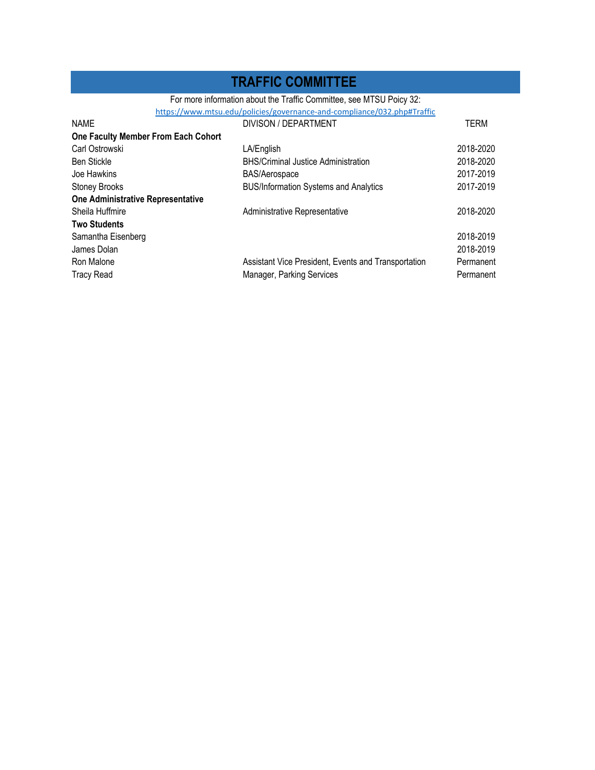### **TRAFFIC COMMITTEE**

For more information about the Traffic Committee, see MTSU Poicy 32:

| https://www.mtsu.edu/policies/governance-and-compliance/032.php#Traffic |                                                     |             |  |
|-------------------------------------------------------------------------|-----------------------------------------------------|-------------|--|
| <b>NAME</b>                                                             | DIVISON / DEPARTMENT                                | <b>TERM</b> |  |
| One Faculty Member From Each Cohort                                     |                                                     |             |  |
| Carl Ostrowski                                                          | LA/English                                          | 2018-2020   |  |
| <b>Ben Stickle</b>                                                      | <b>BHS/Criminal Justice Administration</b>          | 2018-2020   |  |
| Joe Hawkins                                                             | <b>BAS/Aerospace</b>                                | 2017-2019   |  |
| <b>Stoney Brooks</b>                                                    | <b>BUS/Information Systems and Analytics</b>        | 2017-2019   |  |
| One Administrative Representative                                       |                                                     |             |  |
| Sheila Huffmire                                                         | Administrative Representative                       | 2018-2020   |  |
| <b>Two Students</b>                                                     |                                                     |             |  |
| Samantha Eisenberg                                                      |                                                     | 2018-2019   |  |
| James Dolan                                                             |                                                     | 2018-2019   |  |
| Ron Malone                                                              | Assistant Vice President, Events and Transportation | Permanent   |  |
| <b>Tracy Read</b>                                                       | <b>Manager, Parking Services</b>                    | Permanent   |  |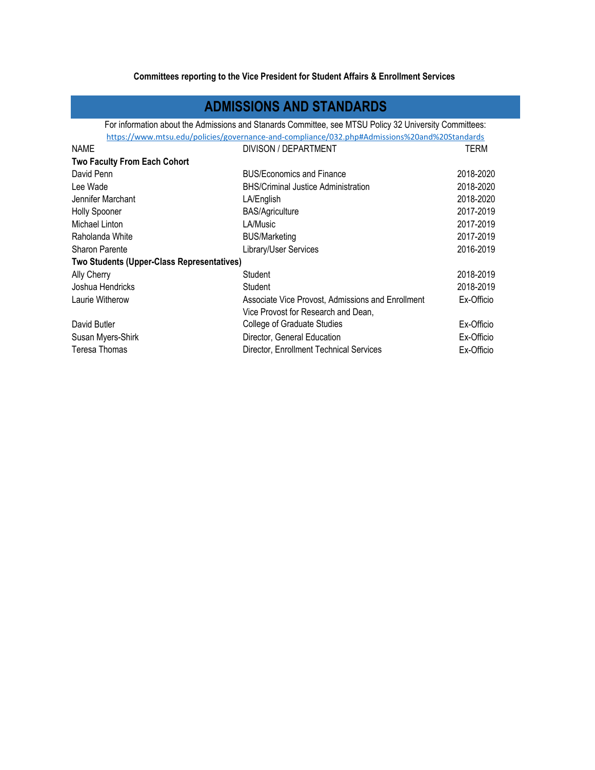#### **Committees reporting to the Vice President for Student Affairs & Enrollment Services**

### **ADMISSIONS AND STANDARDS**

https://www.mtsu.edu/policies/governance-and-compliance/032.php#Admissions%20and%20Standards For information about the Admissions and Stanards Committee, see MTSU Policy 32 University Committees:

| <b>NAME</b>                                | DIVISON / DEPARTMENT                              | TERM       |
|--------------------------------------------|---------------------------------------------------|------------|
| <b>Two Faculty From Each Cohort</b>        |                                                   |            |
| David Penn                                 | <b>BUS/Economics and Finance</b>                  | 2018-2020  |
| Lee Wade                                   | <b>BHS/Criminal Justice Administration</b>        | 2018-2020  |
| Jennifer Marchant                          | LA/English                                        | 2018-2020  |
| <b>Holly Spooner</b>                       | <b>BAS/Agriculture</b>                            | 2017-2019  |
| Michael Linton                             | LA/Music                                          | 2017-2019  |
| Raholanda White                            | <b>BUS/Marketing</b>                              | 2017-2019  |
| Sharon Parente                             | Library/User Services                             | 2016-2019  |
| Two Students (Upper-Class Representatives) |                                                   |            |
| Ally Cherry                                | Student                                           | 2018-2019  |
| Joshua Hendricks                           | Student                                           | 2018-2019  |
| Laurie Witherow                            | Associate Vice Provost, Admissions and Enrollment | Ex-Officio |
|                                            | Vice Provost for Research and Dean,               |            |
| David Butler                               | College of Graduate Studies                       | Ex-Officio |
| Susan Myers-Shirk                          | Director, General Education                       | Ex-Officio |
| Teresa Thomas                              | Director, Enrollment Technical Services           | Ex-Officio |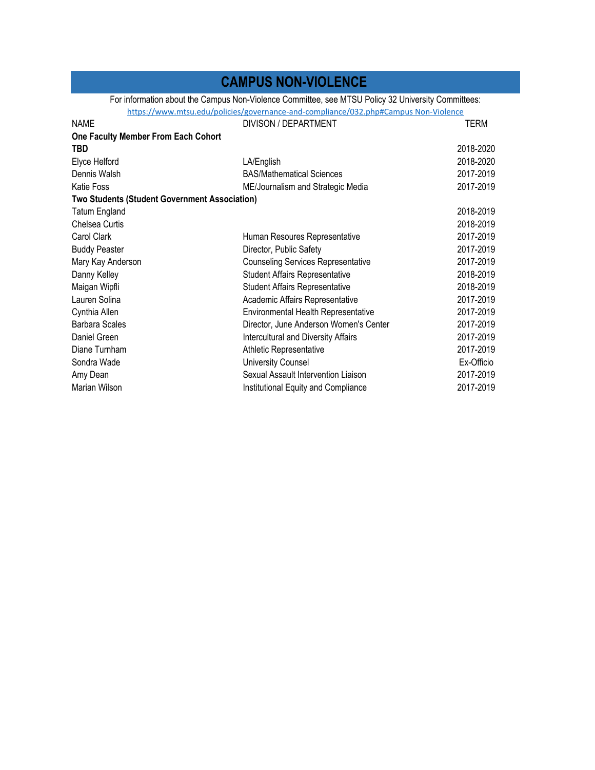### **CAMPUS NON-VIOLENCE**

For information about the Campus Non-Violence Committee, see MTSU Policy 32 University Committees:

https://www.mtsu.edu/policies/governance‐and‐compliance/032.php#Campus Non‐Violence

| <b>NAME</b>                                          | DIVISON / DEPARTMENT                       | TERM       |
|------------------------------------------------------|--------------------------------------------|------------|
| One Faculty Member From Each Cohort                  |                                            |            |
| <b>TBD</b>                                           |                                            | 2018-2020  |
| Elyce Helford                                        | LA/English                                 | 2018-2020  |
| Dennis Walsh                                         | <b>BAS/Mathematical Sciences</b>           | 2017-2019  |
| <b>Katie Foss</b>                                    | ME/Journalism and Strategic Media          | 2017-2019  |
| <b>Two Students (Student Government Association)</b> |                                            |            |
| <b>Tatum England</b>                                 |                                            | 2018-2019  |
| Chelsea Curtis                                       |                                            | 2018-2019  |
| Carol Clark                                          | Human Resoures Representative              | 2017-2019  |
| <b>Buddy Peaster</b>                                 | Director, Public Safety                    | 2017-2019  |
| Mary Kay Anderson                                    | <b>Counseling Services Representative</b>  | 2017-2019  |
| Danny Kelley                                         | <b>Student Affairs Representative</b>      | 2018-2019  |
| Maigan Wipfli                                        | <b>Student Affairs Representative</b>      | 2018-2019  |
| Lauren Solina                                        | Academic Affairs Representative            | 2017-2019  |
| Cynthia Allen                                        | Environmental Health Representative        | 2017-2019  |
| <b>Barbara Scales</b>                                | Director, June Anderson Women's Center     | 2017-2019  |
| Daniel Green                                         | <b>Intercultural and Diversity Affairs</b> | 2017-2019  |
| Diane Turnham                                        | Athletic Representative                    | 2017-2019  |
| Sondra Wade                                          | <b>University Counsel</b>                  | Ex-Officio |
| Amy Dean                                             | Sexual Assault Intervention Liaison        | 2017-2019  |
| Marian Wilson                                        | Institutional Equity and Compliance        | 2017-2019  |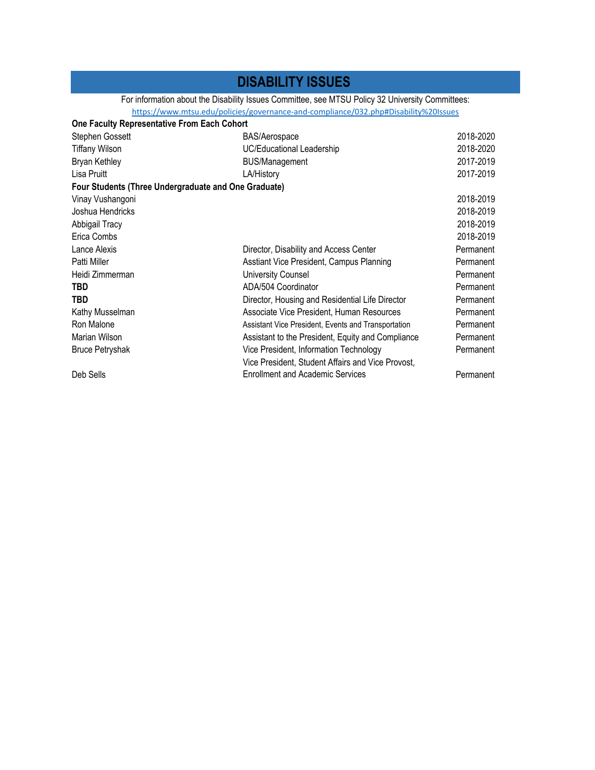### **DISABILITY ISSUES**

#### For information about the Disability Issues Committee, see MTSU Policy 32 University Committees:

https://www.mtsu.edu/policies/governance‐and‐compliance/032.php#Disability%20Issues

| <b>BAS/Aerospace</b>                                | 2018-2020                                                                                           |
|-----------------------------------------------------|-----------------------------------------------------------------------------------------------------|
| UC/Educational Leadership                           | 2018-2020                                                                                           |
| <b>BUS/Management</b>                               | 2017-2019                                                                                           |
| LA/History                                          | 2017-2019                                                                                           |
|                                                     |                                                                                                     |
|                                                     | 2018-2019                                                                                           |
|                                                     | 2018-2019                                                                                           |
|                                                     | 2018-2019                                                                                           |
|                                                     | 2018-2019                                                                                           |
| Director, Disability and Access Center              | Permanent                                                                                           |
| Asstiant Vice President, Campus Planning            | Permanent                                                                                           |
| <b>University Counsel</b>                           | Permanent                                                                                           |
| ADA/504 Coordinator                                 | Permanent                                                                                           |
| Director, Housing and Residential Life Director     | Permanent                                                                                           |
| Associate Vice President, Human Resources           | Permanent                                                                                           |
| Assistant Vice President, Events and Transportation | Permanent                                                                                           |
| Assistant to the President, Equity and Compliance   | Permanent                                                                                           |
| Vice President, Information Technology              | Permanent                                                                                           |
| Vice President, Student Affairs and Vice Provost,   |                                                                                                     |
| <b>Enrollment and Academic Services</b>             | Permanent                                                                                           |
|                                                     | One Faculty Representative From Each Cohort<br>Four Students (Three Undergraduate and One Graduate) |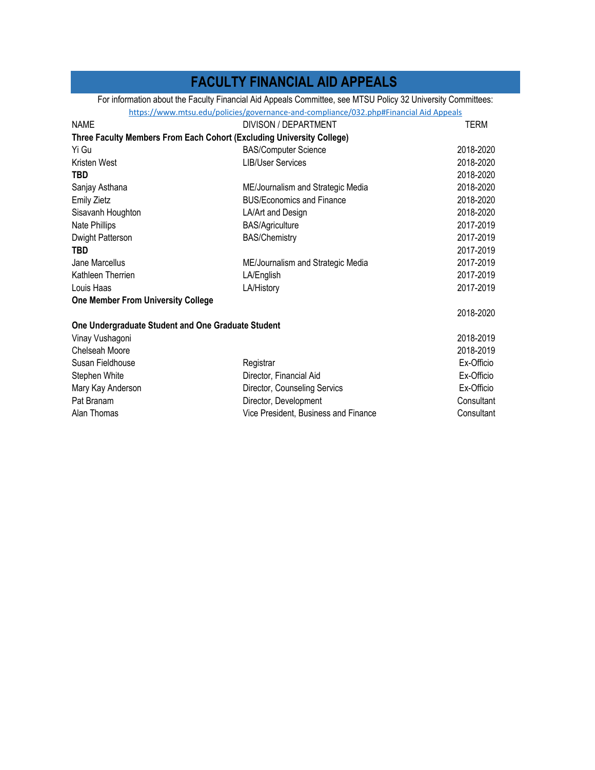### **FACULTY FINANCIAL AID APPEALS**

For information about the Faculty Financial Aid Appeals Committee, see MTSU Policy 32 University Committees:

https://www.mtsu.edu/policies/governance-and-compliance/032.php#Financial Aid Appeals

| <b>NAME</b>                                        | DIVISON / DEPARTMENT                                                  | TERM       |
|----------------------------------------------------|-----------------------------------------------------------------------|------------|
|                                                    | Three Faculty Members From Each Cohort (Excluding University College) |            |
| Yi Gu                                              | <b>BAS/Computer Science</b>                                           | 2018-2020  |
| Kristen West                                       | <b>LIB/User Services</b>                                              | 2018-2020  |
| <b>TBD</b>                                         |                                                                       | 2018-2020  |
| Sanjay Asthana                                     | ME/Journalism and Strategic Media                                     | 2018-2020  |
| <b>Emily Zietz</b>                                 | <b>BUS/Economics and Finance</b>                                      | 2018-2020  |
| Sisavanh Houghton                                  | LA/Art and Design                                                     | 2018-2020  |
| Nate Phillips                                      | <b>BAS/Agriculture</b>                                                | 2017-2019  |
| Dwight Patterson                                   | <b>BAS/Chemistry</b>                                                  | 2017-2019  |
| TBD                                                |                                                                       | 2017-2019  |
| Jane Marcellus                                     | ME/Journalism and Strategic Media                                     | 2017-2019  |
| Kathleen Therrien                                  | LA/English                                                            | 2017-2019  |
| Louis Haas                                         | LA/History                                                            | 2017-2019  |
| <b>One Member From University College</b>          |                                                                       |            |
|                                                    |                                                                       | 2018-2020  |
| One Undergraduate Student and One Graduate Student |                                                                       |            |
| Vinay Vushagoni                                    |                                                                       | 2018-2019  |
| Chelseah Moore                                     |                                                                       | 2018-2019  |
| Susan Fieldhouse                                   | Registrar                                                             | Ex-Officio |
| Stephen White                                      | Director, Financial Aid                                               | Ex-Officio |
| Mary Kay Anderson                                  | Director, Counseling Servics                                          | Ex-Officio |
| Pat Branam                                         | Director, Development                                                 | Consultant |
| Alan Thomas                                        | Vice President, Business and Finance                                  | Consultant |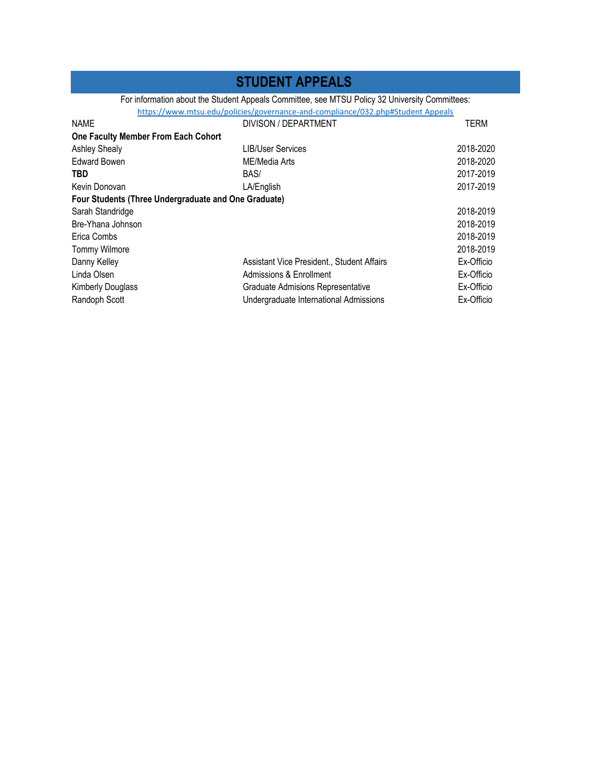### **STUDENT APPEALS**

### For information about the Student Appeals Committee, see MTSU Policy 32 University Committees:

https://www.mtsu.edu/policies/governance-and-compliance/032.php#Student Appeals

| <b>NAME</b>                                          | DIVISON / DEPARTMENT                       | <b>TERM</b> |
|------------------------------------------------------|--------------------------------------------|-------------|
| One Faculty Member From Each Cohort                  |                                            |             |
| <b>Ashley Shealy</b>                                 | <b>LIB/User Services</b>                   | 2018-2020   |
| <b>Edward Bowen</b>                                  | ME/Media Arts                              | 2018-2020   |
| TBD                                                  | BAS/                                       | 2017-2019   |
| Kevin Donovan                                        | LA/English                                 | 2017-2019   |
| Four Students (Three Undergraduate and One Graduate) |                                            |             |
| Sarah Standridge                                     |                                            | 2018-2019   |
| Bre-Yhana Johnson                                    |                                            | 2018-2019   |
| Erica Combs                                          |                                            | 2018-2019   |
| <b>Tommy Wilmore</b>                                 |                                            | 2018-2019   |
| Danny Kelley                                         | Assistant Vice President., Student Affairs | Ex-Officio  |
| Linda Olsen                                          | Admissions & Enrollment                    | Ex-Officio  |
| <b>Kimberly Douglass</b>                             | Graduate Admisions Representative          | Ex-Officio  |
| Randoph Scott                                        | Undergraduate International Admissions     | Ex-Officio  |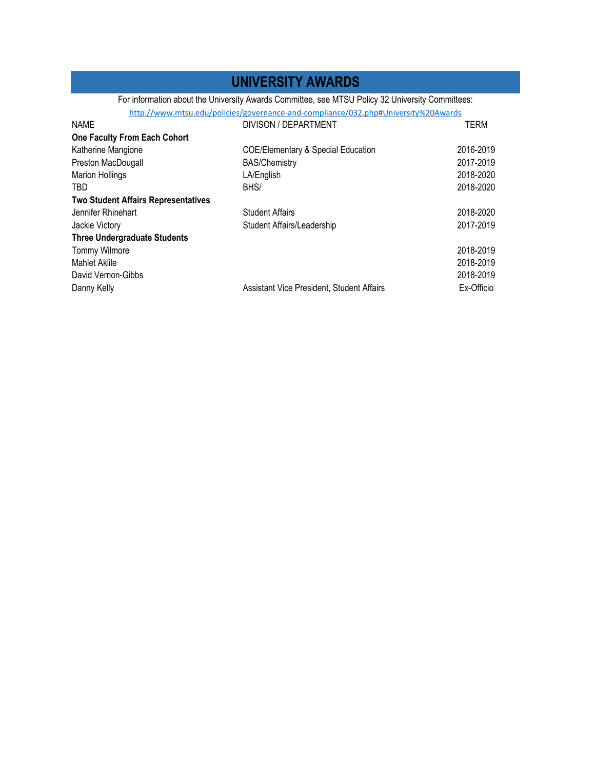### **UNIVERSITY AWARDS**

For information about the University Awards Committee, see MTSU Policy 32 University Committees:

| http://www.mtsu.edu/policies/governance-and-compliance/032.php#University%20Awards |  |
|------------------------------------------------------------------------------------|--|
|------------------------------------------------------------------------------------|--|

| <b>NAME</b>                                | DIVISON / DEPARTMENT                          | <b>TERM</b> |
|--------------------------------------------|-----------------------------------------------|-------------|
| <b>One Faculty From Each Cohort</b>        |                                               |             |
| Katherine Mangione                         | <b>COE/Elementary &amp; Special Education</b> | 2016-2019   |
| Preston MacDougall                         | <b>BAS/Chemistry</b>                          | 2017-2019   |
| <b>Marion Hollings</b>                     | LA/English                                    | 2018-2020   |
| TBD                                        | BHS/                                          | 2018-2020   |
| <b>Two Student Affairs Representatives</b> |                                               |             |
| Jennifer Rhinehart                         | <b>Student Affairs</b>                        | 2018-2020   |
| Jackie Victory                             | Student Affairs/Leadership                    | 2017-2019   |
| <b>Three Undergraduate Students</b>        |                                               |             |
| <b>Tommy Wilmore</b>                       |                                               | 2018-2019   |
| <b>Mahlet Aklile</b>                       |                                               | 2018-2019   |
| David Vernon-Gibbs                         |                                               | 2018-2019   |
| Danny Kelly                                | Assistant Vice President, Student Affairs     | Ex-Officio  |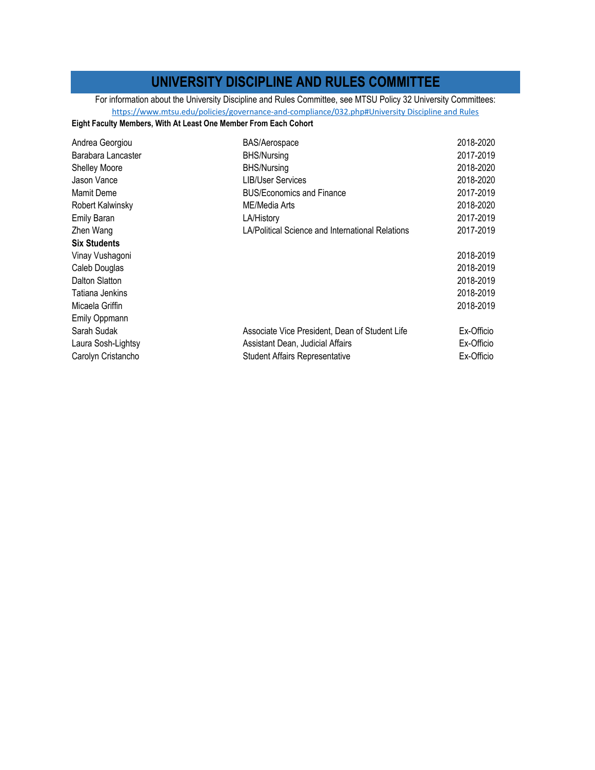### **UNIVERSITY DISCIPLINE AND RULES COMMITTEE**

https://www.mtsu.edu/policies/governance-and-compliance/032.php#University Discipline and Rules For information about the University Discipline and Rules Committee, see MTSU Policy 32 University Committees:

#### **Eight Faculty Members, With At Least One Member From Each Cohort**

| BAS/Aerospace                                    | 2018-2020  |
|--------------------------------------------------|------------|
| <b>BHS/Nursing</b>                               | 2017-2019  |
| <b>BHS/Nursing</b>                               | 2018-2020  |
| LIB/User Services                                | 2018-2020  |
| <b>BUS/Economics and Finance</b>                 | 2017-2019  |
| ME/Media Arts                                    | 2018-2020  |
| LA/History                                       | 2017-2019  |
| LA/Political Science and International Relations | 2017-2019  |
|                                                  |            |
|                                                  | 2018-2019  |
|                                                  | 2018-2019  |
|                                                  | 2018-2019  |
|                                                  | 2018-2019  |
|                                                  | 2018-2019  |
|                                                  |            |
| Associate Vice President, Dean of Student Life   | Ex-Officio |
| Assistant Dean, Judicial Affairs                 | Ex-Officio |
| Student Affairs Representative                   | Ex-Officio |
|                                                  |            |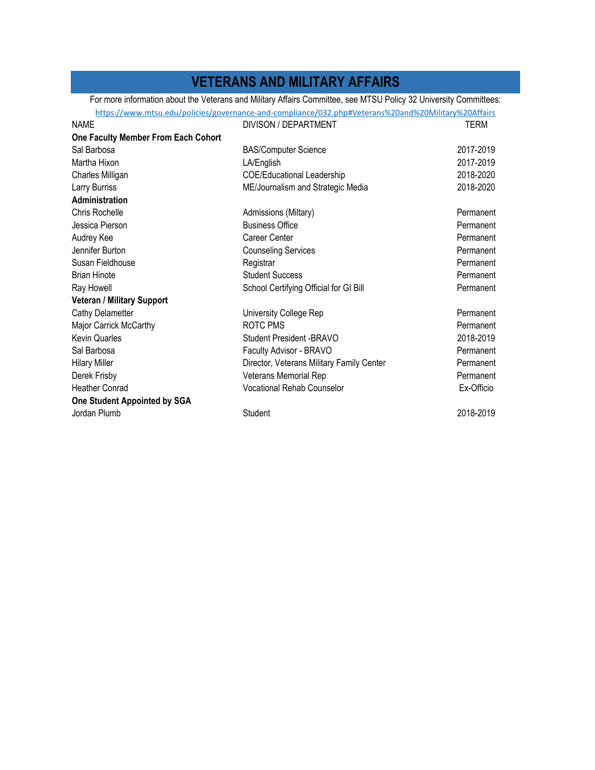## **VETERANS AND MILITARY AFFAIRS**

For more information about the Veterans and Military Affairs Committee, see MTSU Policy 32 University Committees:

|                                     | https://www.mtsu.edu/policies/governance-and-compliance/032.php#Veterans%20and%20Military%20Affairs |            |
|-------------------------------------|-----------------------------------------------------------------------------------------------------|------------|
| <b>NAME</b>                         | DIVISON / DEPARTMENT                                                                                | TERM       |
| One Faculty Member From Each Cohort |                                                                                                     |            |
| Sal Barbosa                         | <b>BAS/Computer Science</b>                                                                         | 2017-2019  |
| Martha Hixon                        | LA/English                                                                                          | 2017-2019  |
| Charles Milligan                    | <b>COE/Educational Leadership</b>                                                                   | 2018-2020  |
| Larry Burriss                       | ME/Journalism and Strategic Media                                                                   | 2018-2020  |
| Administration                      |                                                                                                     |            |
| Chris Rochelle                      | Admissions (Miltary)                                                                                | Permanent  |
| Jessica Pierson                     | <b>Business Office</b>                                                                              | Permanent  |
| Audrey Kee                          | Career Center                                                                                       | Permanent  |
| Jennifer Burton                     | <b>Counseling Services</b>                                                                          | Permanent  |
| Susan Fieldhouse                    | Registrar                                                                                           | Permanent  |
| <b>Brian Hinote</b>                 | <b>Student Success</b>                                                                              | Permanent  |
| Ray Howell                          | School Certifying Official for GI Bill                                                              | Permanent  |
| Veteran / Military Support          |                                                                                                     |            |
| Cathy Delametter                    | University College Rep                                                                              | Permanent  |
| Major Carrick McCarthy              | ROTC PMS                                                                                            | Permanent  |
| <b>Kevin Quarles</b>                | Student President - BRAVO                                                                           | 2018-2019  |
| Sal Barbosa                         | Faculty Advisor - BRAVO                                                                             | Permanent  |
| <b>Hilary Miller</b>                | Director, Veterans Military Family Center                                                           | Permanent  |
| Derek Frisby                        | Veterans Memorial Rep                                                                               | Permanent  |
| <b>Heather Conrad</b>               | <b>Vocational Rehab Counselor</b>                                                                   | Ex-Officio |
| One Student Appointed by SGA        |                                                                                                     |            |
| Jordan Plumb                        | Student                                                                                             | 2018-2019  |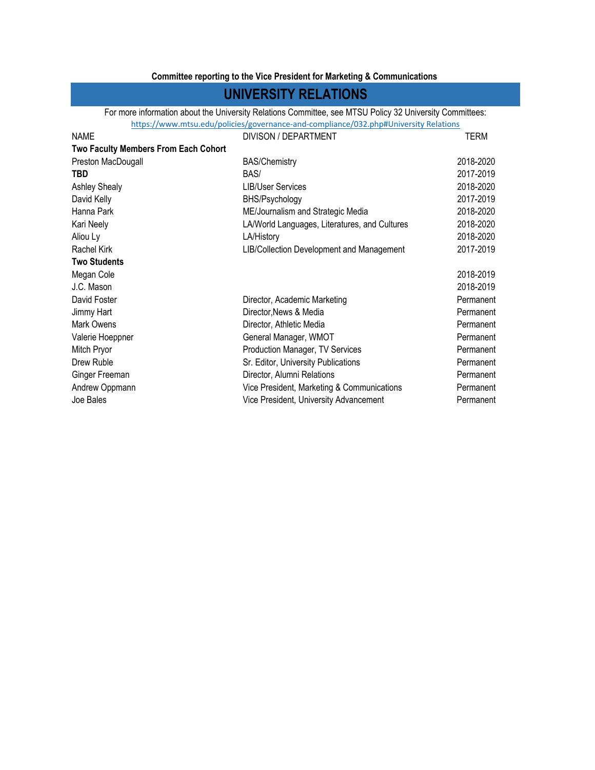### **Committee reporting to the Vice President for Marketing & Communications**

### **UNIVERSITY RELATIONS**

For more information about the University Relations Committee, see MTSU Policy 32 University Committees: https://www.mtsu.edu/policies/governance‐and‐compliance/032.php#University Relations

| <b>NAME</b>                                 | DIVISON / DEPARTMENT                          | TERM      |
|---------------------------------------------|-----------------------------------------------|-----------|
| <b>Two Faculty Members From Each Cohort</b> |                                               |           |
| Preston MacDougall                          | <b>BAS/Chemistry</b>                          | 2018-2020 |
| <b>TBD</b>                                  | BAS/                                          | 2017-2019 |
| <b>Ashley Shealy</b>                        | <b>LIB/User Services</b>                      | 2018-2020 |
| David Kelly                                 | BHS/Psychology                                | 2017-2019 |
| Hanna Park                                  | ME/Journalism and Strategic Media             | 2018-2020 |
| Kari Neely                                  | LA/World Languages, Literatures, and Cultures | 2018-2020 |
| Aliou Ly                                    | LA/History                                    | 2018-2020 |
| Rachel Kirk                                 | LIB/Collection Development and Management     | 2017-2019 |
| <b>Two Students</b>                         |                                               |           |
| Megan Cole                                  |                                               | 2018-2019 |
| J.C. Mason                                  |                                               | 2018-2019 |
| David Foster                                | Director, Academic Marketing                  | Permanent |
| Jimmy Hart                                  | Director, News & Media                        | Permanent |
| Mark Owens                                  | Director, Athletic Media                      | Permanent |
| Valerie Hoeppner                            | General Manager, WMOT                         | Permanent |
| Mitch Pryor                                 | Production Manager, TV Services               | Permanent |
| Drew Ruble                                  | Sr. Editor, University Publications           | Permanent |
| Ginger Freeman                              | Director, Alumni Relations                    | Permanent |
| Andrew Oppmann                              | Vice President, Marketing & Communications    | Permanent |
| Joe Bales                                   | Vice President, University Advancement        | Permanent |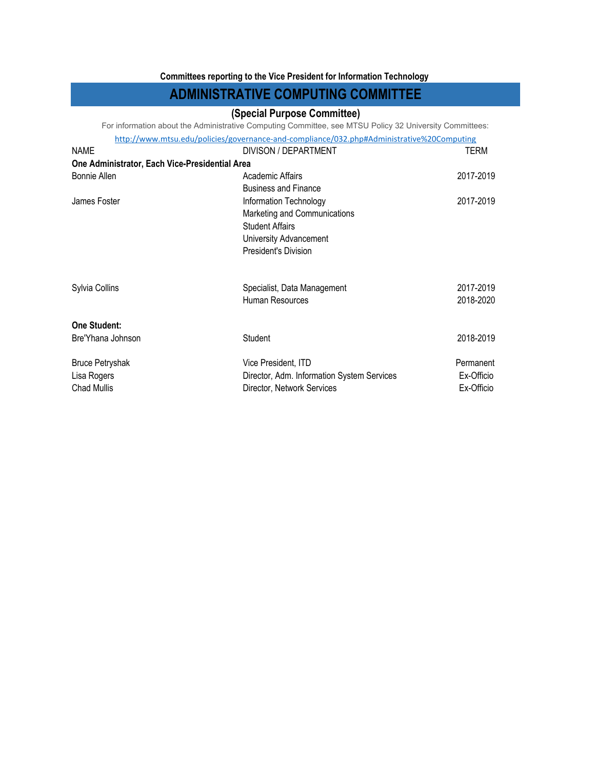#### **Committees reporting to the Vice President for Information Technology**

### **ADMINISTRATIVE COMPUTING COMMITTEE**

#### **(Special Purpose Committee)**

For information about the Administrative Computing Committee, see MTSU Policy 32 University Committees:

http://www.mtsu.edu/policies/governance‐and‐compliance/032.php#Administrative%20Computing

| <b>NAME</b>                                    | DIVISON / DEPARTMENT                       | TERM       |
|------------------------------------------------|--------------------------------------------|------------|
| One Administrator, Each Vice-Presidential Area |                                            |            |
| <b>Bonnie Allen</b>                            | Academic Affairs                           | 2017-2019  |
|                                                | <b>Business and Finance</b>                |            |
| James Foster                                   | Information Technology                     | 2017-2019  |
|                                                | Marketing and Communications               |            |
|                                                | <b>Student Affairs</b>                     |            |
|                                                | University Advancement                     |            |
|                                                | President's Division                       |            |
| Sylvia Collins                                 | Specialist, Data Management                | 2017-2019  |
|                                                | Human Resources                            | 2018-2020  |
| One Student:                                   |                                            |            |
| Bre'Yhana Johnson                              | Student                                    | 2018-2019  |
| <b>Bruce Petryshak</b>                         | Vice President, ITD                        | Permanent  |
| Lisa Rogers                                    | Director, Adm. Information System Services | Ex-Officio |
| Chad Mullis                                    | Director, Network Services                 | Ex-Officio |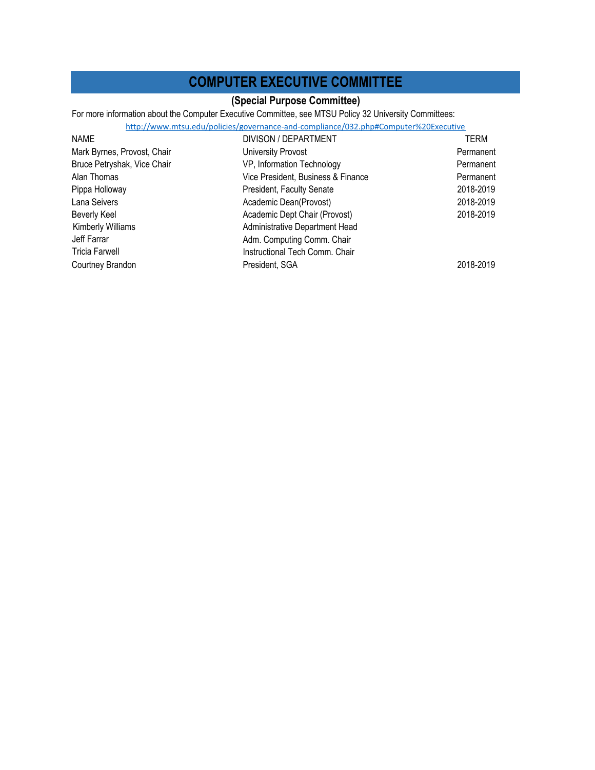### **COMPUTER EXECUTIVE COMMITTEE**

### **(Special Purpose Committee)**

For more information about the Computer Executive Committee, see MTSU Policy 32 University Committees:

#### http://www.mtsu.edu/policies/governance‐and‐compliance/032.php#Computer%20Executive

| <b>NAME</b>                 | DIVISON / DEPARTMENT               | TERM      |
|-----------------------------|------------------------------------|-----------|
| Mark Byrnes, Provost, Chair | University Provost                 | Permanent |
| Bruce Petryshak, Vice Chair | VP, Information Technology         | Permanent |
| Alan Thomas                 | Vice President, Business & Finance | Permanent |
| Pippa Holloway              | President, Faculty Senate          | 2018-2019 |
| Lana Seivers                | Academic Dean(Provost)             | 2018-2019 |
| <b>Beverly Keel</b>         | Academic Dept Chair (Provost)      | 2018-2019 |
| <b>Kimberly Williams</b>    | Administrative Department Head     |           |
| Jeff Farrar                 | Adm. Computing Comm. Chair         |           |
| <b>Tricia Farwell</b>       | Instructional Tech Comm. Chair     |           |
| Courtney Brandon            | President, SGA                     | 2018-2019 |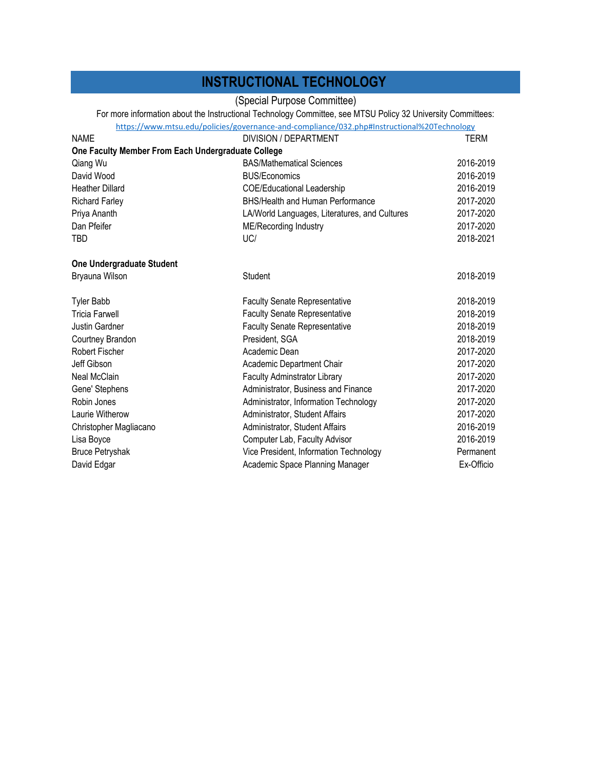## **INSTRUCTIONAL TECHNOLOGY**

(Special Purpose Committee)

For more information about the Instructional Technology Committee, see MTSU Policy 32 University Committees:

|                                                    | https://www.mtsu.edu/policies/governance-and-compliance/032.php#Instructional%20Technology |            |
|----------------------------------------------------|--------------------------------------------------------------------------------------------|------------|
| <b>NAME</b>                                        | DIVISION / DEPARTMENT                                                                      | TERM       |
| One Faculty Member From Each Undergraduate College |                                                                                            |            |
| Qiang Wu                                           | <b>BAS/Mathematical Sciences</b>                                                           | 2016-2019  |
| David Wood                                         | <b>BUS/Economics</b>                                                                       | 2016-2019  |
| <b>Heather Dillard</b>                             | <b>COE/Educational Leadership</b>                                                          | 2016-2019  |
| <b>Richard Farley</b>                              | <b>BHS/Health and Human Performance</b>                                                    | 2017-2020  |
| Priya Ananth                                       | LA/World Languages, Literatures, and Cultures                                              | 2017-2020  |
| Dan Pfeifer                                        | <b>ME/Recording Industry</b>                                                               | 2017-2020  |
| <b>TBD</b>                                         | UC/                                                                                        | 2018-2021  |
| One Undergraduate Student                          |                                                                                            |            |
| Bryauna Wilson                                     | Student                                                                                    | 2018-2019  |
| <b>Tyler Babb</b>                                  | <b>Faculty Senate Representative</b>                                                       | 2018-2019  |
| <b>Tricia Farwell</b>                              | <b>Faculty Senate Representative</b>                                                       | 2018-2019  |
| Justin Gardner                                     | <b>Faculty Senate Representative</b>                                                       | 2018-2019  |
| Courtney Brandon                                   | President, SGA                                                                             | 2018-2019  |
| <b>Robert Fischer</b>                              | Academic Dean                                                                              | 2017-2020  |
| Jeff Gibson                                        | Academic Department Chair                                                                  | 2017-2020  |
| Neal McClain                                       | <b>Faculty Adminstrator Library</b>                                                        | 2017-2020  |
| Gene' Stephens                                     | Administrator, Business and Finance                                                        | 2017-2020  |
| Robin Jones                                        | Administrator, Information Technology                                                      | 2017-2020  |
| Laurie Witherow                                    | Administrator, Student Affairs                                                             | 2017-2020  |
| Christopher Magliacano                             | Administrator, Student Affairs                                                             | 2016-2019  |
| Lisa Boyce                                         | Computer Lab, Faculty Advisor                                                              | 2016-2019  |
| <b>Bruce Petryshak</b>                             | Vice President, Information Technology                                                     | Permanent  |
| David Edgar                                        | Academic Space Planning Manager                                                            | Ex-Officio |